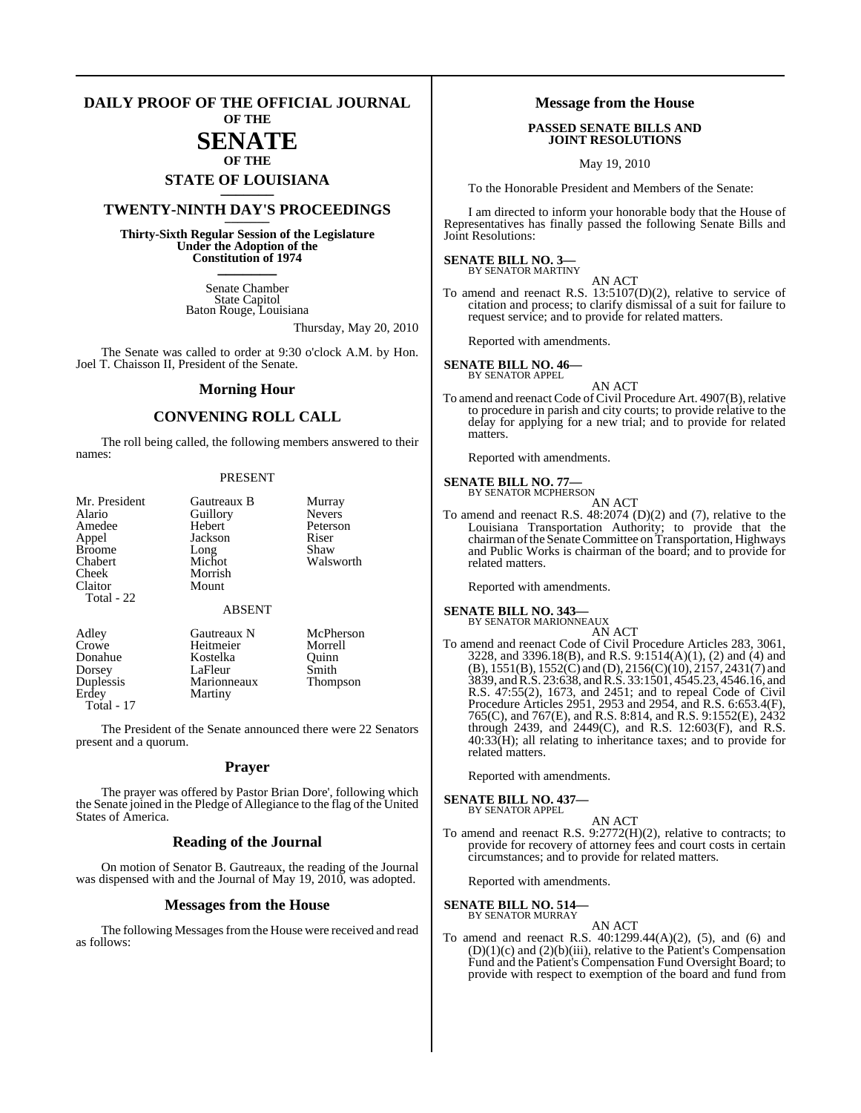#### **DAILY PROOF OF THE OFFICIAL JOURNAL OF THE**

# **SENATE**

## **OF THE STATE OF LOUISIANA \_\_\_\_\_\_\_**

## **TWENTY-NINTH DAY'S PROCEEDINGS \_\_\_\_\_\_\_**

**Thirty-Sixth Regular Session of the Legislature Under the Adoption of the Constitution of 1974 \_\_\_\_\_\_\_**

> Senate Chamber State Capitol Baton Rouge, Louisiana

> > Thursday, May 20, 2010

The Senate was called to order at 9:30 o'clock A.M. by Hon. Joel T. Chaisson II, President of the Senate.

#### **Morning Hour**

## **CONVENING ROLL CALL**

The roll being called, the following members answered to their names:

#### PRESENT

| Mr. President<br>Alario<br>Amedee<br>Appel<br><b>Broome</b><br>Chabert<br>Cheek<br>Claitor | Gautreaux B<br>Guillory<br>Hebert<br>Jackson<br>Long<br>Michot<br>Morrish<br>Mount | Murray<br><b>Nevers</b><br>Peterson<br>Riser<br>Shaw<br>Walsworth |
|--------------------------------------------------------------------------------------------|------------------------------------------------------------------------------------|-------------------------------------------------------------------|
| Total - 22                                                                                 | <b>ABSENT</b>                                                                      |                                                                   |
| Adley<br>Crowe<br>Donahue<br>Dorsey<br>Duplessis                                           | Gautreaux N<br>Heitmeier<br>Kostelka<br>LaFleur<br>Marionneaux                     | McPherson<br>Morrell<br>Ouinn<br>Smith<br><b>Thompson</b>         |

Erdey Martiny

Total - 17

The President of the Senate announced there were 22 Senators present and a quorum.

#### **Prayer**

The prayer was offered by Pastor Brian Dore', following which the Senate joined in the Pledge of Allegiance to the flag of the United States of America.

#### **Reading of the Journal**

On motion of Senator B. Gautreaux, the reading of the Journal was dispensed with and the Journal of May 19, 2010, was adopted.

#### **Messages from the House**

The following Messages from the House were received and read as follows:

#### **Message from the House**

#### **PASSED SENATE BILLS AND JOINT RESOLUTIONS**

May 19, 2010

To the Honorable President and Members of the Senate:

I am directed to inform your honorable body that the House of Representatives has finally passed the following Senate Bills and Joint Resolutions:

#### **SENATE BILL NO. 3—** BY SENATOR MARTINY

AN ACT

To amend and reenact R.S. 13:5107(D)(2), relative to service of citation and process; to clarify dismissal of a suit for failure to request service; and to provide for related matters.

Reported with amendments.

## **SENATE BILL NO. 46—** BY SENATOR APPEL

AN ACT To amend and reenact Code of Civil Procedure Art. 4907(B), relative to procedure in parish and city courts; to provide relative to the delay for applying for a new trial; and to provide for related matters

Reported with amendments.

#### **SENATE BILL NO. 77—** BY SENATOR MCPHERSON

- AN ACT
- To amend and reenact R.S. 48:2074 (D)(2) and (7), relative to the Louisiana Transportation Authority; to provide that the chairman of the Senate Committee on Transportation, Highways and Public Works is chairman of the board; and to provide for related matters.

Reported with amendments.

# **SENATE BILL NO. 343—** BY SENATOR MARIONNEAUX

AN ACT

To amend and reenact Code of Civil Procedure Articles 283, 3061, 3228, and 3396.18(B), and R.S. 9:1514(A)(1), (2) and (4) and  $(B)$ , 1551(B), 1552(C) and (D), 2156(C)(10), 2157, 2431(7) and 3839, andR.S. 23:638, and R.S. 33:1501, 4545.23, 4546.16, and R.S. 47:55(2), 1673, and 2451; and to repeal Code of Civil Procedure Articles 2951, 2953 and 2954, and R.S. 6:653.4(F), 765(C), and 767(E), and R.S. 8:814, and R.S. 9:1552(E), 2432 through 2439, and 2449(C), and R.S. 12:603(F), and R.S. 40:33(H); all relating to inheritance taxes; and to provide for related matters.

Reported with amendments.

#### **SENATE BILL NO. 437—** BY SENATOR APPEL

- 
- AN ACT To amend and reenact R.S. 9:2772(H)(2), relative to contracts; to provide for recovery of attorney fees and court costs in certain circumstances; and to provide for related matters.

Reported with amendments.

#### **SENATE BILL NO. 514—** BY SENATOR MURRAY

AN ACT

To amend and reenact R.S.  $40:1299.44(A)(2)$ , (5), and (6) and (D)(1)(c) and (2)(b)(iii), relative to the Patient's Compensation Fund and the Patient's Compensation Fund Oversight Board; to provide with respect to exemption of the board and fund from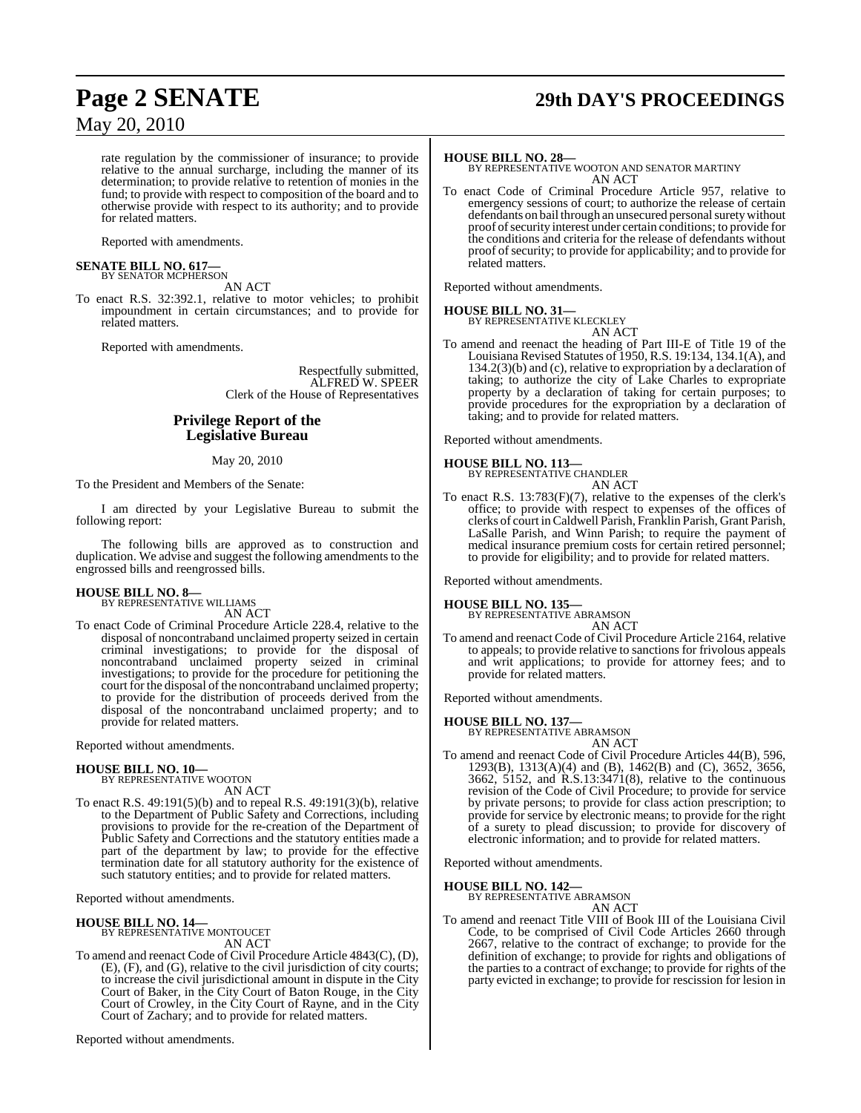# **Page 2 SENATE 29th DAY'S PROCEEDINGS**

rate regulation by the commissioner of insurance; to provide relative to the annual surcharge, including the manner of its determination; to provide relative to retention of monies in the fund; to provide with respect to composition of the board and to otherwise provide with respect to its authority; and to provide for related matters.

Reported with amendments.

#### **SENATE BILL NO. 617—** BY SENATOR MCPHERSON

AN ACT

To enact R.S. 32:392.1, relative to motor vehicles; to prohibit impoundment in certain circumstances; and to provide for related matters.

Reported with amendments.

Respectfully submitted, ALFRED W. SPEER Clerk of the House of Representatives

### **Privilege Report of the Legislative Bureau**

#### May 20, 2010

To the President and Members of the Senate:

I am directed by your Legislative Bureau to submit the following report:

The following bills are approved as to construction and duplication. We advise and suggest the following amendments to the engrossed bills and reengrossed bills.

## **HOUSE BILL NO. 8—** BY REPRESENTATIVE WILLIAMS

AN ACT

To enact Code of Criminal Procedure Article 228.4, relative to the disposal of noncontraband unclaimed property seized in certain criminal investigations; to provide for the disposal of noncontraband unclaimed property seized in criminal investigations; to provide for the procedure for petitioning the court for the disposal of the noncontraband unclaimed property; to provide for the distribution of proceeds derived from the disposal of the noncontraband unclaimed property; and to provide for related matters.

Reported without amendments.

#### **HOUSE BILL NO. 10—**

BY REPRESENTATIVE WOOTON AN ACT

To enact R.S. 49:191(5)(b) and to repeal R.S. 49:191(3)(b), relative to the Department of Public Safety and Corrections, including provisions to provide for the re-creation of the Department of Public Safety and Corrections and the statutory entities made a part of the department by law; to provide for the effective termination date for all statutory authority for the existence of such statutory entities; and to provide for related matters.

Reported without amendments.

#### **HOUSE BILL NO. 14—**

BY REPRESENTATIVE MONTOUCET AN ACT

To amend and reenact Code of Civil Procedure Article 4843(C), (D), (E), (F), and (G), relative to the civil jurisdiction of city courts; to increase the civil jurisdictional amount in dispute in the City Court of Baker, in the City Court of Baton Rouge, in the City Court of Crowley, in the City Court of Rayne, and in the City Court of Zachary; and to provide for related matters.

Reported without amendments.

**HOUSE BILL NO. 28—** BY REPRESENTATIVE WOOTON AND SENATOR MARTINY AN ACT

To enact Code of Criminal Procedure Article 957, relative to emergency sessions of court; to authorize the release of certain defendants on bail through an unsecured personal surety without proof of security interest under certain conditions; to provide for the conditions and criteria for the release of defendants without proof of security; to provide for applicability; and to provide for related matters.

Reported without amendments.

#### **HOUSE BILL NO. 31—** BY REPRESENTATIVE KLECKLEY

AN ACT

To amend and reenact the heading of Part III-E of Title 19 of the Louisiana Revised Statutes of 1950, R.S. 19:134, 134.1(A), and 134.2(3)(b) and (c), relative to expropriation by a declaration of taking; to authorize the city of Lake Charles to expropriate property by a declaration of taking for certain purposes; to provide procedures for the expropriation by a declaration of taking; and to provide for related matters.

Reported without amendments.

**HOUSE BILL NO. 113—**

BY REPRESENTATIVE CHANDLER

AN ACT

To enact R.S. 13:783(F)(7), relative to the expenses of the clerk's office; to provide with respect to expenses of the offices of clerks of court inCaldwell Parish, Franklin Parish, Grant Parish, LaSalle Parish, and Winn Parish; to require the payment of medical insurance premium costs for certain retired personnel; to provide for eligibility; and to provide for related matters.

Reported without amendments.

#### **HOUSE BILL NO. 135—**

BY REPRESENTATIVE ABRAMSON AN ACT

To amend and reenact Code of Civil Procedure Article 2164, relative to appeals; to provide relative to sanctions for frivolous appeals and writ applications; to provide for attorney fees; and to provide for related matters.

Reported without amendments.

**HOUSE BILL NO. 137—** BY REPRESENTATIVE ABRAMSON

- AN ACT
- To amend and reenact Code of Civil Procedure Articles 44(B), 596, 1293(B), 1313(A)(4) and (B), 1462(B) and (C), 3652, 3656, 3662, 5152, and R.S.13:3471(8), relative to the continuous revision of the Code of Civil Procedure; to provide for service by private persons; to provide for class action prescription; to provide for service by electronic means; to provide for the right of a surety to plead discussion; to provide for discovery of electronic information; and to provide for related matters.

Reported without amendments.

**HOUSE BILL NO. 142—**

BY REPRESENTATIVE ABRAMSON AN ACT

To amend and reenact Title VIII of Book III of the Louisiana Civil Code, to be comprised of Civil Code Articles 2660 through 2667, relative to the contract of exchange; to provide for the definition of exchange; to provide for rights and obligations of the parties to a contract of exchange; to provide for rights of the party evicted in exchange; to provide for rescission for lesion in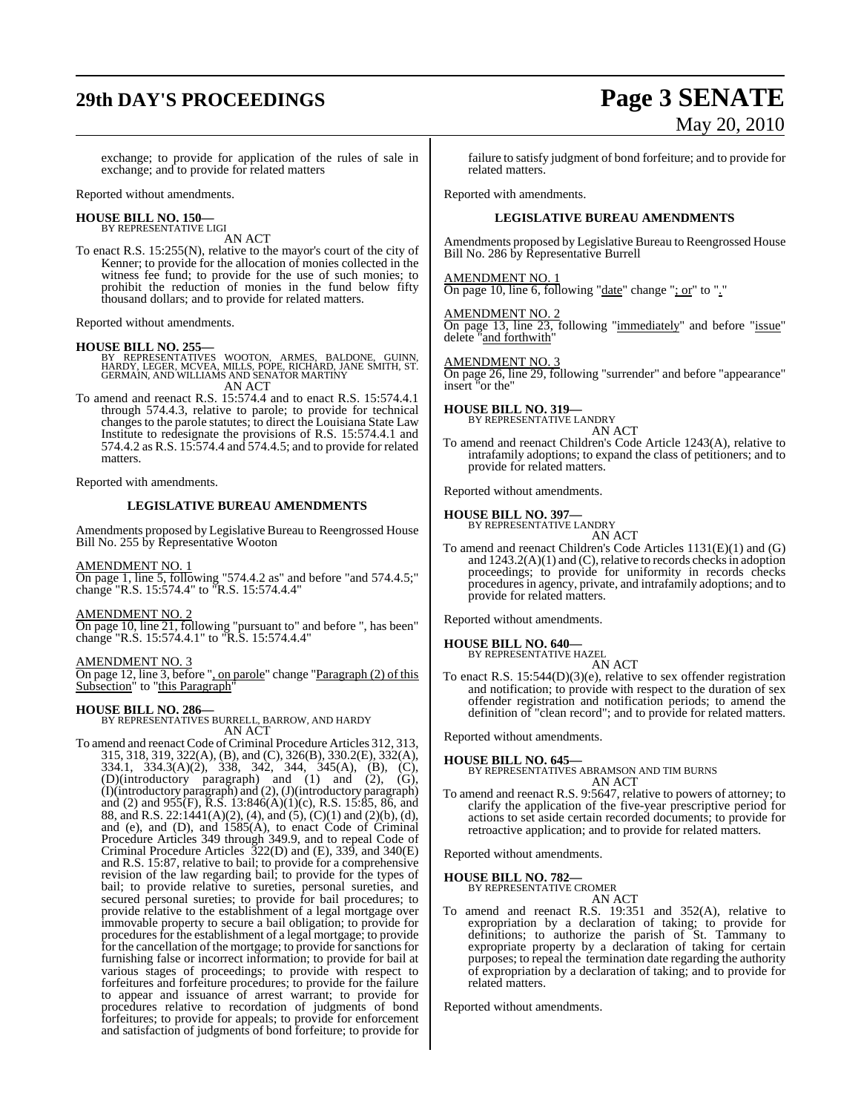# **29th DAY'S PROCEEDINGS Page 3 SENATE**

exchange; to provide for application of the rules of sale in exchange; and to provide for related matters

Reported without amendments.

#### **HOUSE BILL NO. 150—** BY REPRESENTATIVE LIGI

AN ACT

To enact R.S. 15:255(N), relative to the mayor's court of the city of Kenner; to provide for the allocation of monies collected in the witness fee fund; to provide for the use of such monies; to prohibit the reduction of monies in the fund below fifty thousand dollars; and to provide for related matters.

Reported without amendments.

- **HOUSE BILL NO. 255—** BY REPRESENTATIVES WOOTON, ARMES, BALDONE, GUINN, HARDY, LEGER, MCVEA, MILLS, POPE, RICHARD, JANE SMITH, ST. GERMAIN, AND WILLIAMS AND SENATOR MARTINY AN ACT
- To amend and reenact R.S. 15:574.4 and to enact R.S. 15:574.4.1 through 574.4.3, relative to parole; to provide for technical changes to the parole statutes; to direct the Louisiana State Law Institute to redesignate the provisions of R.S. 15:574.4.1 and 574.4.2 as R.S. 15:574.4 and 574.4.5; and to provide for related matters.

Reported with amendments.

#### **LEGISLATIVE BUREAU AMENDMENTS**

Amendments proposed by Legislative Bureau to Reengrossed House Bill No. 255 by Representative Wooton

#### AMENDMENT NO. 1

On page 1, line 5, following "574.4.2 as" and before "and 574.4.5;" change "R.S. 15:574.4" to "R.S. 15:574.4.4"

#### AMENDMENT NO. 2

On page 10, line 21, following "pursuant to" and before ", has been" change "R.S. 15:574.4.1" to "R.S. 15:574.4.4"

#### AMENDMENT NO. 3

On page 12, line 3, before ", on parole" change "Paragraph (2) of this Subsection" to "this Paragraph"

#### **HOUSE BILL NO. 286—**

BY REPRESENTATIVES BURRELL, BARROW, AND HARDY AN ACT

To amend and reenact Code of Criminal Procedure Articles 312, 313, 315, 318, 319, 322(A), (B), and (C), 326(B), 330.2(E), 332(A), 334.1, 334.3(A)(2), 338, 342, 344, 345(A), (B), (C), (D)(introductory paragraph) and (1) and (2), (G), (I)(introductory paragraph) and (2), (J)(introductory paragraph) and (2) and 955(F), R.S. 13:846(A)(1)(c), R.S. 15:85, 86, and 88, and R.S. 22:1441(A)(2), (4), and (5), (C)(1) and (2)(b), (d), and (e), and (D), and 1585(A), to enact Code of Criminal Procedure Articles 349 through 349.9, and to repeal Code of Criminal Procedure Articles 322(D) and (E), 339, and 340(E) and R.S. 15:87, relative to bail; to provide for a comprehensive revision of the law regarding bail; to provide for the types of bail; to provide relative to sureties, personal sureties, and secured personal sureties; to provide for bail procedures; to provide relative to the establishment of a legal mortgage over immovable property to secure a bail obligation; to provide for procedures for the establishment of a legal mortgage; to provide for the cancellation of the mortgage; to provide for sanctions for furnishing false or incorrect information; to provide for bail at various stages of proceedings; to provide with respect to forfeitures and forfeiture procedures; to provide for the failure to appear and issuance of arrest warrant; to provide for procedures relative to recordation of judgments of bond forfeitures; to provide for appeals; to provide for enforcement and satisfaction of judgments of bond forfeiture; to provide for

failure to satisfy judgment of bond forfeiture; and to provide for related matters.

Reported with amendments.

#### **LEGISLATIVE BUREAU AMENDMENTS**

Amendments proposed by Legislative Bureau to Reengrossed House Bill No. 286 by Representative Burrell

#### AMENDMENT NO. 1

On page 10, line 6, following "date" change "; or" to "."

#### AMENDMENT NO. 2

On page 13, line 23, following "immediately" and before "issue" delete "and forthwith"

#### AMENDMENT NO. 3

On page 26, line 29, following "surrender" and before "appearance" insert "or the"

## **HOUSE BILL NO. 319—** BY REPRESENTATIVE LANDRY

AN ACT

To amend and reenact Children's Code Article 1243(A), relative to intrafamily adoptions; to expand the class of petitioners; and to provide for related matters.

Reported without amendments.

#### **HOUSE BILL NO. 397—**

BY REPRESENTATIVE LANDRY AN ACT

To amend and reenact Children's Code Articles 1131(E)(1) and (G) and  $1243.2(A)(1)$  and (C), relative to records checks in adoption proceedings; to provide for uniformity in records checks procedures in agency, private, and intrafamily adoptions; and to provide for related matters.

Reported without amendments.

## **HOUSE BILL NO. 640—** BY REPRESENTATIVE HAZEL

AN ACT

To enact R.S. 15:544(D)(3)(e), relative to sex offender registration and notification; to provide with respect to the duration of sex offender registration and notification periods; to amend the definition of "clean record"; and to provide for related matters.

Reported without amendments.

#### **HOUSE BILL NO. 645—**

BY REPRESENTATIVES ABRAMSON AND TIM BURNS AN ACT

To amend and reenact R.S. 9:5647, relative to powers of attorney; to clarify the application of the five-year prescriptive period for actions to set aside certain recorded documents; to provide for retroactive application; and to provide for related matters.

Reported without amendments.

## **HOUSE BILL NO. 782—** BY REPRESENTATIVE CROMER

AN ACT

To amend and reenact R.S. 19:351 and 352(A), relative to expropriation by a declaration of taking; to provide for definitions; to authorize the parish of St. Tammany to expropriate property by a declaration of taking for certain purposes; to repeal the termination date regarding the authority of expropriation by a declaration of taking; and to provide for related matters.

Reported without amendments.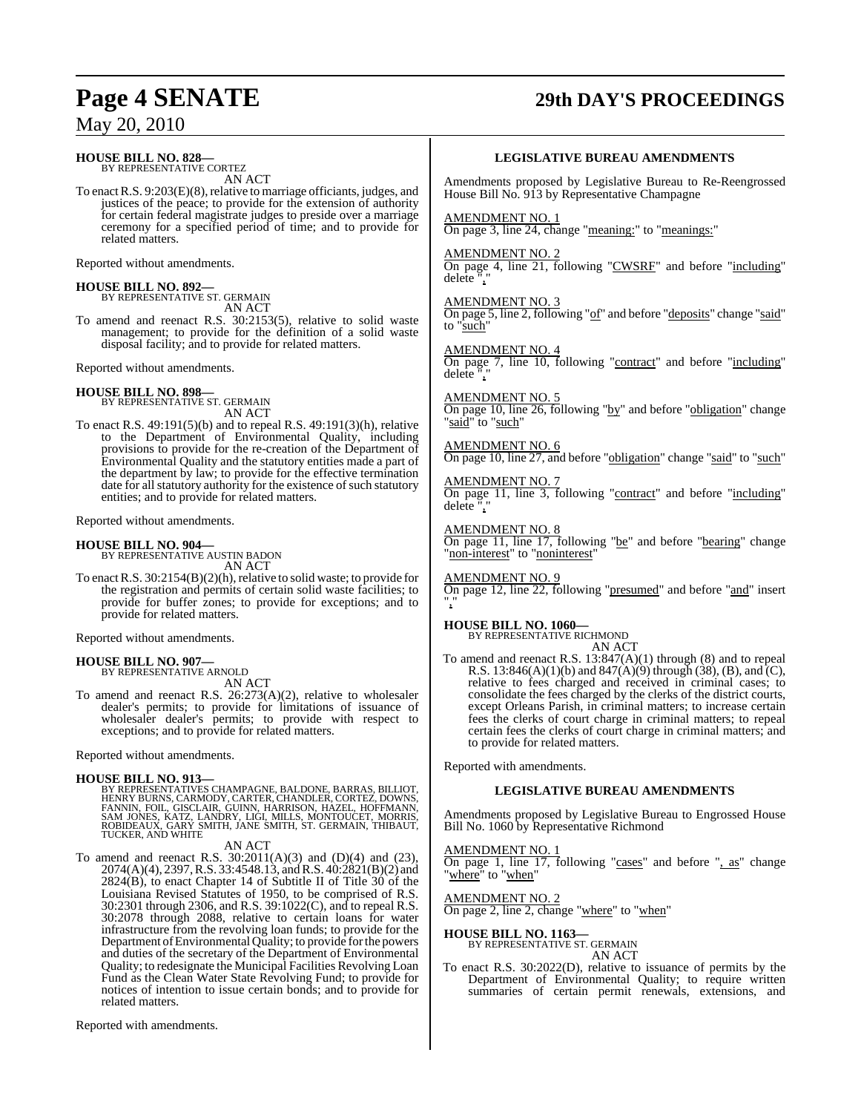#### **HOUSE BILL NO. 828—** BY REPRESENTATIVE CORTEZ

AN ACT

To enact R.S. 9:203(E)(8), relative to marriage officiants, judges, and justices of the peace; to provide for the extension of authority for certain federal magistrate judges to preside over a marriage ceremony for a specified period of time; and to provide for related matters.

Reported without amendments.

## **HOUSE BILL NO. 892—** BY REPRESENTATIVE ST. GERMAIN

AN ACT

To amend and reenact R.S. 30:2153(5), relative to solid waste management; to provide for the definition of a solid waste disposal facility; and to provide for related matters.

Reported without amendments.

### **HOUSE BILL NO. 898—**

BY REPRESENTATIVE ST. GERMAIN AN ACT

To enact R.S. 49:191(5)(b) and to repeal R.S. 49:191(3)(h), relative to the Department of Environmental Quality, including provisions to provide for the re-creation of the Department of Environmental Quality and the statutory entities made a part of the department by law; to provide for the effective termination date for all statutory authority for the existence of such statutory entities; and to provide for related matters.

Reported without amendments.

#### **HOUSE BILL NO. 904—**

BY REPRESENTATIVE AUSTIN BADON AN ACT

To enact R.S.  $30:2154(B)(2)(h)$ , relative to solid waste; to provide for the registration and permits of certain solid waste facilities; to provide for buffer zones; to provide for exceptions; and to provide for related matters.

Reported without amendments.

## **HOUSE BILL NO. 907—** BY REPRESENTATIVE ARNOLD

AN ACT

To amend and reenact R.S. 26:273(A)(2), relative to wholesaler dealer's permits; to provide for limitations of issuance of wholesaler dealer's permits; to provide with respect to exceptions; and to provide for related matters.

Reported without amendments.

#### **HOUSE BILL NO. 913—**

BY REPRESENTATIVES CHAMPAGNE, BALDONE, BARRAS, BILLIOT,<br>HENRY BURNS, CARMODY, CARTER, CHANDLER, CORTEZ, DOWNS,<br>FANNIN, FOIL, GISCLAIR, GUINN, HARRISON, HAZEL, HOFFMANN,<br>SAM JONES, KATZ, LANDRY, LIGI, MILLS, MONTOUCET, MORR

AN ACT

To amend and reenact R.S.  $30:2011(A)(3)$  and  $(D)(4)$  and  $(23)$ , 2074(A)(4), 2397,R.S. 33:4548.13, andR.S. 40:2821(B)(2) and 2824(B), to enact Chapter 14 of Subtitle II of Title 30 of the Louisiana Revised Statutes of 1950, to be comprised of R.S. 30:2301 through 2306, and R.S. 39:1022(C), and to repeal R.S. 30:2078 through 2088, relative to certain loans for water infrastructure from the revolving loan funds; to provide for the Department of Environmental Quality; to provide for the powers and duties of the secretary of the Department of Environmental Quality; to redesignate the Municipal Facilities Revolving Loan Fund as the Clean Water State Revolving Fund; to provide for notices of intention to issue certain bonds; and to provide for related matters.

Reported with amendments.

# **Page 4 SENATE 29th DAY'S PROCEEDINGS**

#### **LEGISLATIVE BUREAU AMENDMENTS**

Amendments proposed by Legislative Bureau to Re-Reengrossed House Bill No. 913 by Representative Champagne

#### AMENDMENT NO. 1

On page 3, line 24, change "meaning:" to "meanings:"

#### AMENDMENT NO. 2

On page 4, line 21, following "CWSRF" and before "including" delete<sup>"</sup>

#### AMENDMENT NO. 3

On page 5, line 2, following "of" and before "deposits" change "said" to "such"

#### AMENDMENT NO. 4

On page 7, line 10, following "contract" and before "including" delete ","

#### AMENDMENT NO. 5

On page 10, line 26, following "by" and before "obligation" change "said" to "such"

AMENDMENT NO. 6

On page 10, line 27, and before "obligation" change "said" to "such"

AMENDMENT NO. 7 On page 11, line 3, following "contract" and before "including" delete ",'

AMENDMENT NO. 8 On page 11, line 17, following "be" and before "bearing" change "non-interest" to "noninterest"

AMENDMENT NO. 9 On page 12, line 22, following "presumed" and before "and" insert ","

#### **HOUSE BILL NO. 1060—** BY REPRESENTATIVE RICHMOND

AN ACT To amend and reenact R.S. 13:847(A)(1) through (8) and to repeal R.S. 13:846(A)(1)(b) and  $847(A)(9)$  through (38), (B), and (C), relative to fees charged and received in criminal cases; to consolidate the fees charged by the clerks of the district courts, except Orleans Parish, in criminal matters; to increase certain fees the clerks of court charge in criminal matters; to repeal certain fees the clerks of court charge in criminal matters; and to provide for related matters.

Reported with amendments.

#### **LEGISLATIVE BUREAU AMENDMENTS**

Amendments proposed by Legislative Bureau to Engrossed House Bill No. 1060 by Representative Richmond

### AMENDMENT NO. 1

On page 1, line 17, following "cases" and before ", as" change "where" to "when"

AMENDMENT NO. 2

On page 2, line 2, change "where" to "when"

#### **HOUSE BILL NO. 1163—**

#### BY REPRESENTATIVE ST. GERMAIN AN ACT

To enact R.S. 30:2022(D), relative to issuance of permits by the Department of Environmental Quality; to require written summaries of certain permit renewals, extensions, and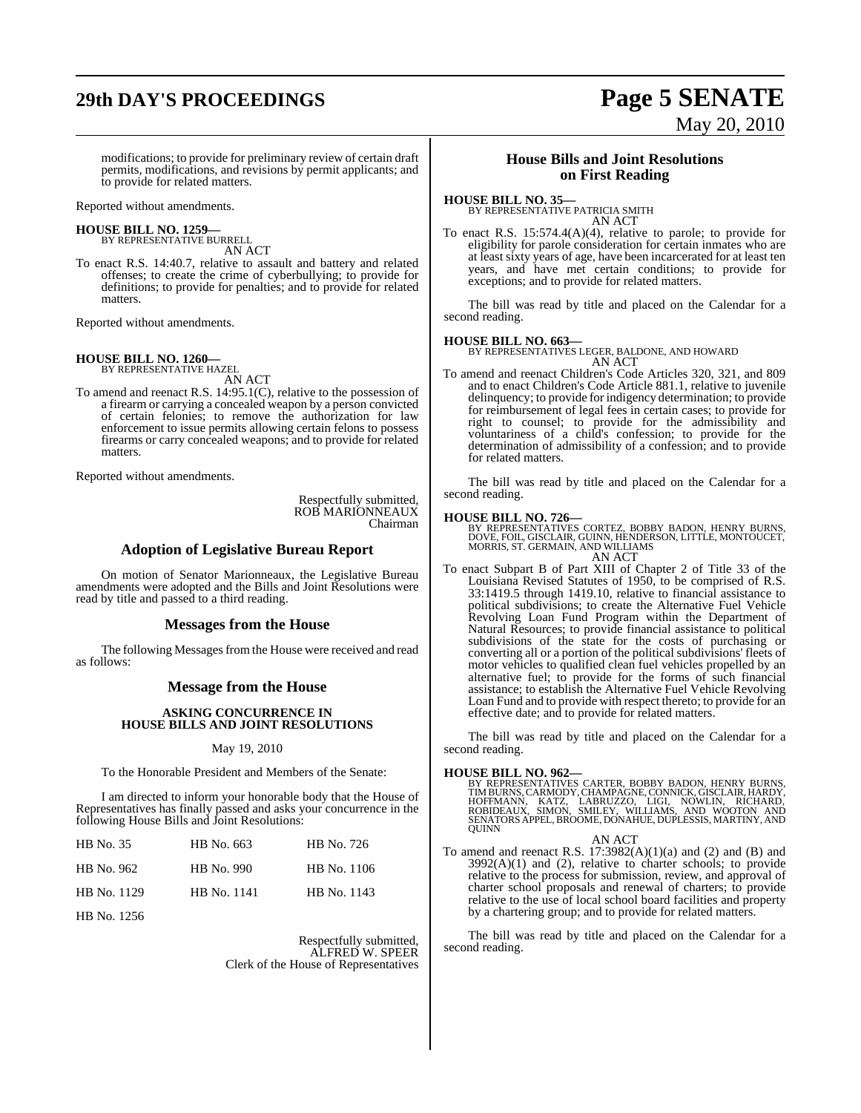# **29th DAY'S PROCEEDINGS Page 5 SENATE**

# May 20, 2010

modifications; to provide for preliminary review of certain draft permits, modifications, and revisions by permit applicants; and to provide for related matters.

Reported without amendments.

**HOUSE BILL NO. 1259—** BY REPRESENTATIVE BURRELL

AN ACT To enact R.S. 14:40.7, relative to assault and battery and related offenses; to create the crime of cyberbullying; to provide for definitions; to provide for penalties; and to provide for related matters.

Reported without amendments.

#### **HOUSE BILL NO. 1260—** BY REPRESENTATIVE HAZEL

AN ACT

To amend and reenact R.S. 14:95.1(C), relative to the possession of a firearm or carrying a concealed weapon by a person convicted of certain felonies; to remove the authorization for law enforcement to issue permits allowing certain felons to possess firearms or carry concealed weapons; and to provide for related matters.

Reported without amendments.

Respectfully submitted, ROB MARIONNEAUX Chairman

#### **Adoption of Legislative Bureau Report**

On motion of Senator Marionneaux, the Legislative Bureau amendments were adopted and the Bills and Joint Resolutions were read by title and passed to a third reading.

#### **Messages from the House**

The following Messages from the House were received and read as follows:

#### **Message from the House**

#### **ASKING CONCURRENCE IN HOUSE BILLS AND JOINT RESOLUTIONS**

#### May 19, 2010

To the Honorable President and Members of the Senate:

I am directed to inform your honorable body that the House of Representatives has finally passed and asks your concurrence in the following House Bills and Joint Resolutions:

| HB No. 35   | HB No. 663  | HB No. 726  |
|-------------|-------------|-------------|
| HB No. 962  | HB No. 990  | HB No. 1106 |
| HB No. 1129 | HB No. 1141 | HB No. 1143 |
| .           |             |             |

HB No. 1256

Respectfully submitted, ALFRED W. SPEER Clerk of the House of Representatives

#### **House Bills and Joint Resolutions on First Reading**

#### **HOUSE BILL NO. 35—**

BY REPRESENTATIVE PATRICIA SMITH AN ACT

To enact R.S. 15:574.4(A)(4), relative to parole; to provide for eligibility for parole consideration for certain inmates who are at least sixty years of age, have been incarcerated for at least ten years, and have met certain conditions; to provide for exceptions; and to provide for related matters.

The bill was read by title and placed on the Calendar for a second reading.

#### **HOUSE BILL NO. 663—**

BY REPRESENTATIVES LEGER, BALDONE, AND HOWARD AN ACT

To amend and reenact Children's Code Articles 320, 321, and 809 and to enact Children's Code Article 881.1, relative to juvenile delinquency; to provide for indigency determination; to provide for reimbursement of legal fees in certain cases; to provide for right to counsel; to provide for the admissibility and voluntariness of a child's confession; to provide for the determination of admissibility of a confession; and to provide for related matters.

The bill was read by title and placed on the Calendar for a second reading.

- **HOUSE BILL NO. 726—**<br>BY REPRESENTATIVES CORTEZ, BOBBY BADON, HENRY BURNS,<br>DOVE, FOIL, GISCLAIR, GUINN, HENDERSON, LITTLE, MONTOUCET,<br>MORRIS, ST. GERMAIN, AND WILLIAMS AN ACT
- To enact Subpart B of Part XIII of Chapter 2 of Title 33 of the Louisiana Revised Statutes of 1950, to be comprised of R.S. 33:1419.5 through 1419.10, relative to financial assistance to political subdivisions; to create the Alternative Fuel Vehicle Revolving Loan Fund Program within the Department of Natural Resources; to provide financial assistance to political subdivisions of the state for the costs of purchasing or converting all or a portion of the political subdivisions' fleets of motor vehicles to qualified clean fuel vehicles propelled by an alternative fuel; to provide for the forms of such financial assistance; to establish the Alternative Fuel Vehicle Revolving Loan Fund and to provide with respect thereto; to provide for an effective date; and to provide for related matters.

The bill was read by title and placed on the Calendar for a second reading.

**HOUSE BILL NO. 962—**<br>BY REPRESENTATIVES CARTER, BOBBY BADON, HENRY BURNS, TIMBURNS, CARMODY, CHAMPAGNE, CONNICK, GISCLAIR, HARDY,<br>HOFFMANN, KATZ, LABRUZZO, LIGI, NOWLIN, RICHARD,<br>ROBIDEAUX, SIMON, SMILEY, WILLIAMS, AND WO

#### AN ACT

To amend and reenact R.S.  $17:3982(A)(1)(a)$  and  $(2)$  and  $(B)$  and  $3992(A)(1)$  and  $(2)$ , relative to charter schools; to provide relative to the process for submission, review, and approval of charter school proposals and renewal of charters; to provide relative to the use of local school board facilities and property by a chartering group; and to provide for related matters.

The bill was read by title and placed on the Calendar for a second reading.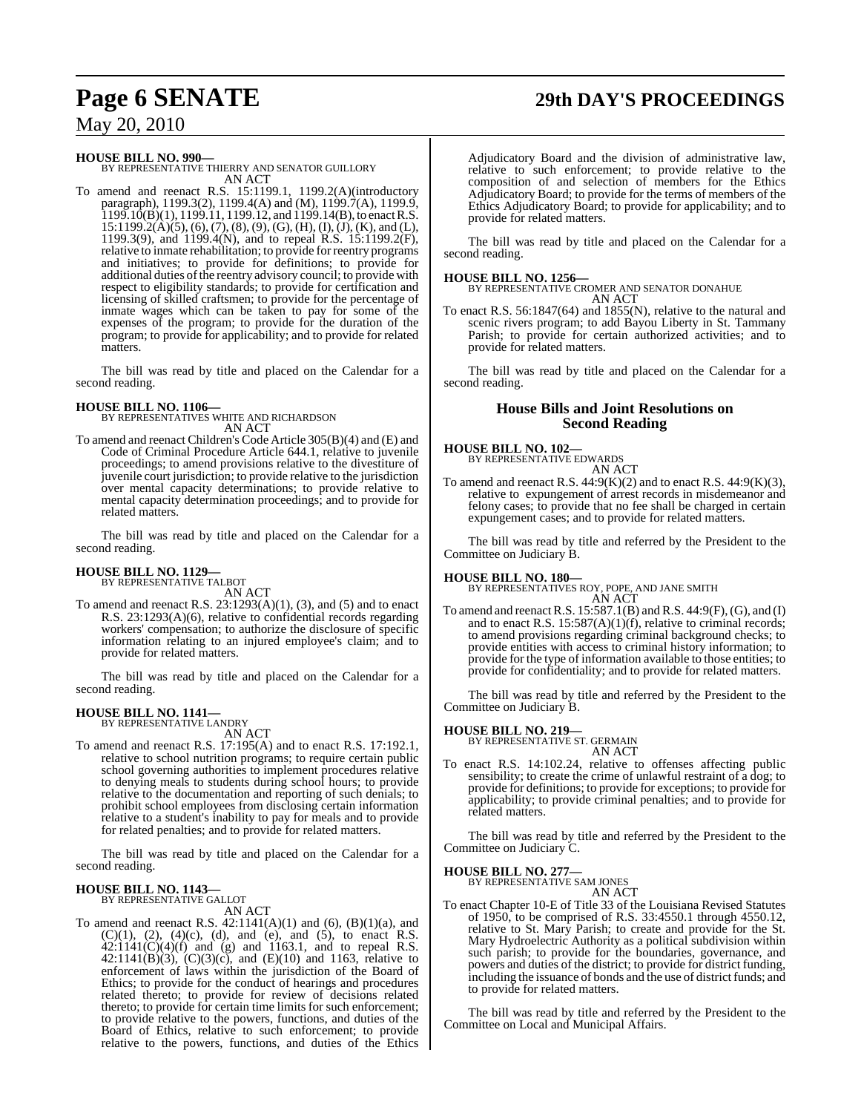# **Page 6 SENATE 29th DAY'S PROCEEDINGS**

May 20, 2010

**HOUSE BILL NO. 990—** BY REPRESENTATIVE THIERRY AND SENATOR GUILLORY AN ACT

To amend and reenact R.S. 15:1199.1, 1199.2(A)(introductory paragraph), 1199.3(2), 1199.4(A) and (M), 1199.7(A), 1199.9,  $1199.10(B)(1)$ ,  $1199.11$ ,  $1199.12$ , and  $1199.14(B)$ , to enact R.S.  $15:1199.2(A)(5), (6), (7), (8), (9), (G), (H), (I), (J), (K),$  and (L), 1199.3(9), and 1199.4(N), and to repeal R.S. 15:1199.2(F), relative to inmate rehabilitation; to provide for reentry programs and initiatives; to provide for definitions; to provide for additional duties ofthe reentry advisory council; to provide with respect to eligibility standards; to provide for certification and licensing of skilled craftsmen; to provide for the percentage of inmate wages which can be taken to pay for some of the expenses of the program; to provide for the duration of the program; to provide for applicability; and to provide for related matters.

The bill was read by title and placed on the Calendar for a second reading.

**HOUSE BILL NO. 1106—** BY REPRESENTATIVES WHITE AND RICHARDSON AN ACT

To amend and reenact Children's Code Article 305(B)(4) and (E) and Code of Criminal Procedure Article 644.1, relative to juvenile proceedings; to amend provisions relative to the divestiture of juvenile court jurisdiction; to provide relative to the jurisdiction over mental capacity determinations; to provide relative to mental capacity determination proceedings; and to provide for related matters.

The bill was read by title and placed on the Calendar for a second reading.

#### **HOUSE BILL NO. 1129—** BY REPRESENTATIVE TALBOT

AN ACT

To amend and reenact R.S.  $23:1293(A)(1)$ ,  $(3)$ , and  $(5)$  and to enact R.S. 23:1293(A)(6), relative to confidential records regarding workers' compensation; to authorize the disclosure of specific information relating to an injured employee's claim; and to provide for related matters.

The bill was read by title and placed on the Calendar for a second reading.

## **HOUSE BILL NO. 1141—** BY REPRESENTATIVE LANDRY

AN ACT

To amend and reenact R.S. 17:195(A) and to enact R.S. 17:192.1, relative to school nutrition programs; to require certain public school governing authorities to implement procedures relative to denying meals to students during school hours; to provide relative to the documentation and reporting of such denials; to prohibit school employees from disclosing certain information relative to a student's inability to pay for meals and to provide for related penalties; and to provide for related matters.

The bill was read by title and placed on the Calendar for a second reading.

#### **HOUSE BILL NO. 1143—**

BY REPRESENTATIVE GALLOT AN ACT

To amend and reenact R.S.  $42:1141(A)(1)$  and  $(6)$ ,  $(B)(1)(a)$ , and  $(C)(1)$ ,  $(2)$ ,  $(4)(c)$ ,  $(d)$ , and  $(e)$ , and  $(5)$ , to enact R.S.  $42:1141(C)(4)(f)$  and (g) and 1163.1, and to repeal R.S. 42:1141(B)(3),  $(C)(3)(c)$ , and  $(E)(10)$  and 1163, relative to enforcement of laws within the jurisdiction of the Board of Ethics; to provide for the conduct of hearings and procedures related thereto; to provide for review of decisions related thereto; to provide for certain time limits for such enforcement; to provide relative to the powers, functions, and duties of the Board of Ethics, relative to such enforcement; to provide relative to the powers, functions, and duties of the Ethics

Adjudicatory Board and the division of administrative law, relative to such enforcement; to provide relative to the composition of and selection of members for the Ethics Adjudicatory Board; to provide for the terms of members of the Ethics Adjudicatory Board; to provide for applicability; and to provide for related matters.

The bill was read by title and placed on the Calendar for a second reading.

## **HOUSE BILL NO. 1256—**

BY REPRESENTATIVE CROMER AND SENATOR DONAHUE AN ACT

To enact R.S. 56:1847(64) and 1855(N), relative to the natural and scenic rivers program; to add Bayou Liberty in St. Tammany Parish; to provide for certain authorized activities; and to provide for related matters.

The bill was read by title and placed on the Calendar for a second reading.

### **House Bills and Joint Resolutions on Second Reading**

#### **HOUSE BILL NO. 102—**

BY REPRESENTATIVE EDWARDS AN ACT

To amend and reenact R.S.  $44:9(K)(2)$  and to enact R.S.  $44:9(K)(3)$ , relative to expungement of arrest records in misdemeanor and felony cases; to provide that no fee shall be charged in certain expungement cases; and to provide for related matters.

The bill was read by title and referred by the President to the Committee on Judiciary B.

#### **HOUSE BILL NO. 180—**

BY REPRESENTATIVES ROY, POPE, AND JANE SMITH AN ACT

To amend and reenact R.S.  $15:587.1(B)$  and R.S.  $44:9(F)$ , (G), and (I) and to enact R.S.  $15:587(A)(1)(f)$ , relative to criminal records; to amend provisions regarding criminal background checks; to provide entities with access to criminal history information; to provide for the type of information available to those entities; to provide for confidentiality; and to provide for related matters.

The bill was read by title and referred by the President to the Committee on Judiciary B.

#### **HOUSE BILL NO. 219—**

BY REPRESENTATIVE ST. GERMAIN AN ACT

To enact R.S. 14:102.24, relative to offenses affecting public sensibility; to create the crime of unlawful restraint of a dog; to provide for definitions; to provide for exceptions; to provide for applicability; to provide criminal penalties; and to provide for related matters.

The bill was read by title and referred by the President to the Committee on Judiciary C.

#### **HOUSE BILL NO. 277—** BY REPRESENTATIVE SAM JONES AN ACT

To enact Chapter 10-E of Title 33 of the Louisiana Revised Statutes of 1950, to be comprised of R.S. 33:4550.1 through 4550.12, relative to St. Mary Parish; to create and provide for the St. Mary Hydroelectric Authority as a political subdivision within such parish; to provide for the boundaries, governance, and powers and duties of the district; to provide for district funding, including the issuance of bonds and the use of district funds; and to provide for related matters.

The bill was read by title and referred by the President to the Committee on Local and Municipal Affairs.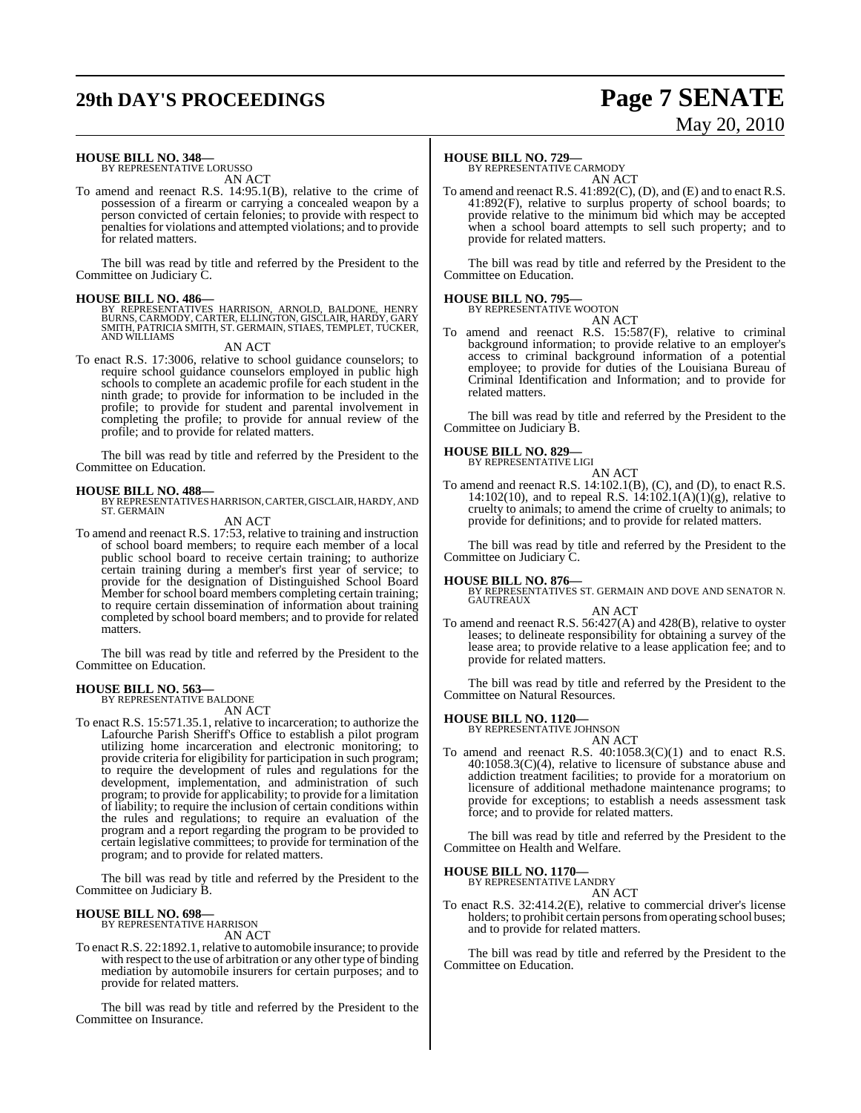# **29th DAY'S PROCEEDINGS Page 7 SENATE**

# May 20, 2010

## **HOUSE BILL NO. 348—** BY REPRESENTATIVE LORUSSO

AN ACT

To amend and reenact R.S. 14:95.1(B), relative to the crime of possession of a firearm or carrying a concealed weapon by a person convicted of certain felonies; to provide with respect to penaltiesfor violations and attempted violations; and to provide for related matters.

The bill was read by title and referred by the President to the Committee on Judiciary C.

#### **HOUSE BILL NO. 486—**

BY REPRESENTATIVES HARRISON, ARNOLD, BALDONE, HENRY<br>BURNS, CARMODY, CARTER, ELLINGTON, GISCLAIR, HARDY, GARY<br>SMITH, PATRICIA SMITH, ST. GERMAIN, STIAES, TEMPLET, TUCKER,<br>AND WILLIAMS

AN ACT

To enact R.S. 17:3006, relative to school guidance counselors; to require school guidance counselors employed in public high schools to complete an academic profile for each student in the ninth grade; to provide for information to be included in the profile; to provide for student and parental involvement in completing the profile; to provide for annual review of the profile; and to provide for related matters.

The bill was read by title and referred by the President to the Committee on Education.

**HOUSE BILL NO. 488—**<br>BY REPRESENTATIVES HARRISON, CARTER, GISCLAIR, HARDY, AND<br>ST. GERMAIN AN ACT

To amend and reenact R.S. 17:53, relative to training and instruction of school board members; to require each member of a local public school board to receive certain training; to authorize certain training during a member's first year of service; to provide for the designation of Distinguished School Board Member for school board members completing certain training; to require certain dissemination of information about training

matters. The bill was read by title and referred by the President to the Committee on Education.

completed by school board members; and to provide for related

#### **HOUSE BILL NO. 563—**

BY REPRESENTATIVE BALDONE AN ACT

To enact R.S. 15:571.35.1, relative to incarceration; to authorize the Lafourche Parish Sheriff's Office to establish a pilot program utilizing home incarceration and electronic monitoring; to provide criteria for eligibility for participation in such program; to require the development of rules and regulations for the development, implementation, and administration of such program; to provide for applicability; to provide for a limitation of liability; to require the inclusion of certain conditions within the rules and regulations; to require an evaluation of the program and a report regarding the program to be provided to certain legislative committees; to provide for termination of the program; and to provide for related matters.

The bill was read by title and referred by the President to the Committee on Judiciary B.

#### **HOUSE BILL NO. 698—**

BY REPRESENTATIVE HARRISON AN ACT

To enact R.S. 22:1892.1, relative to automobile insurance; to provide with respect to the use of arbitration or any other type of binding mediation by automobile insurers for certain purposes; and to provide for related matters.

The bill was read by title and referred by the President to the Committee on Insurance.

### **HOUSE BILL NO. 729—**

BY REPRESENTATIVE CARMODY AN ACT

To amend and reenact R.S. 41:892(C), (D), and (E) and to enact R.S. 41:892(F), relative to surplus property of school boards; to provide relative to the minimum bid which may be accepted when a school board attempts to sell such property; and to provide for related matters.

The bill was read by title and referred by the President to the Committee on Education.

#### **HOUSE BILL NO. 795—**

BY REPRESENTATIVE WOOTON

AN ACT

To amend and reenact R.S. 15:587(F), relative to criminal background information; to provide relative to an employer's access to criminal background information of a potential employee; to provide for duties of the Louisiana Bureau of Criminal Identification and Information; and to provide for related matters.

The bill was read by title and referred by the President to the Committee on Judiciary B.

#### **HOUSE BILL NO. 829—**

BY REPRESENTATIVE LIGI AN ACT

To amend and reenact R.S.  $14:102.1(B)$ , (C), and (D), to enact R.S. 14:102(10), and to repeal R.S.  $14:102.1(A)(1)(g)$ , relative to cruelty to animals; to amend the crime of cruelty to animals; to provide for definitions; and to provide for related matters.

The bill was read by title and referred by the President to the Committee on Judiciary C.

**HOUSE BILL NO. 876—** BY REPRESENTATIVES ST. GERMAIN AND DOVE AND SENATOR N. GAUTREAUX

#### AN ACT

To amend and reenact R.S. 56:427(A) and 428(B), relative to oyster leases; to delineate responsibility for obtaining a survey of the lease area; to provide relative to a lease application fee; and to provide for related matters.

The bill was read by title and referred by the President to the Committee on Natural Resources.

#### **HOUSE BILL NO. 1120—**

BY REPRESENTATIVE JOHNSON AN ACT

To amend and reenact R.S. 40:1058.3(C)(1) and to enact R.S. 40:1058.3(C)(4), relative to licensure of substance abuse and addiction treatment facilities; to provide for a moratorium on licensure of additional methadone maintenance programs; to provide for exceptions; to establish a needs assessment task force; and to provide for related matters.

The bill was read by title and referred by the President to the Committee on Health and Welfare.

#### **HOUSE BILL NO. 1170—** BY REPRESENTATIVE LANDRY

AN ACT

To enact R.S. 32:414.2(E), relative to commercial driver's license holders; to prohibit certain persons from operating school buses; and to provide for related matters.

The bill was read by title and referred by the President to the Committee on Education.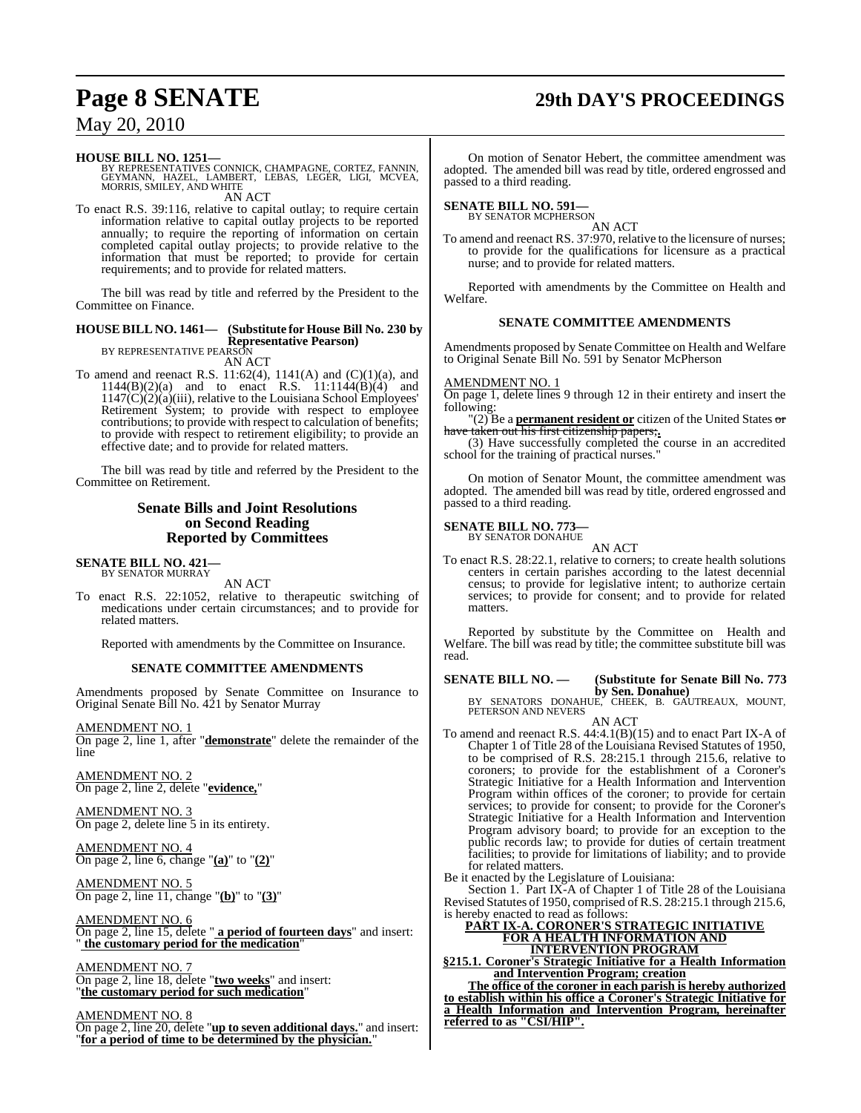# **Page 8 SENATE 29th DAY'S PROCEEDINGS**

## May 20, 2010

**HOUSE BILL NO. 1251—** BY REPRESENTATIVES CONNICK, CHAMPAGNE, CORTEZ, FANNIN, GEYMANN, HAZEL, LAMBERT, LEBAS, LEGER, LIGI, MCVEA, MORRIS, SMILEY, AND WHITE AN ACT

To enact R.S. 39:116, relative to capital outlay; to require certain information relative to capital outlay projects to be reported annually; to require the reporting of information on certain completed capital outlay projects; to provide relative to the information that must be reported; to provide for certain requirements; and to provide for related matters.

The bill was read by title and referred by the President to the Committee on Finance.

#### **HOUSE BILL NO. 1461— (Substitute for House Bill No. 230 by Representative Pearson)** BY REPRESENTATIVE PEARSON

AN ACT

To amend and reenact R.S.  $11:62(4)$ ,  $1141(A)$  and  $(C)(1)(a)$ , and  $1144(B)(2)(a)$  and to enact R.S.  $11:1144(B)(4)$  and 1147(C)(2)(a)(iii), relative to the Louisiana School Employees' Retirement System; to provide with respect to employee contributions; to provide with respect to calculation of benefits; to provide with respect to retirement eligibility; to provide an effective date; and to provide for related matters.

The bill was read by title and referred by the President to the Committee on Retirement.

### **Senate Bills and Joint Resolutions on Second Reading Reported by Committees**

#### **SENATE BILL NO. 421—** BY SENATOR MURRAY

AN ACT

To enact R.S. 22:1052, relative to therapeutic switching of medications under certain circumstances; and to provide for related matters.

Reported with amendments by the Committee on Insurance.

#### **SENATE COMMITTEE AMENDMENTS**

Amendments proposed by Senate Committee on Insurance to Original Senate Bill No. 421 by Senator Murray

AMENDMENT NO. 1 On page 2, line 1, after "**demonstrate**" delete the remainder of the line

AMENDMENT NO. 2 On page 2, line 2, delete "**evidence,**"

AMENDMENT NO. 3 On page 2, delete line 5 in its entirety.

AMENDMENT NO. 4 On page 2, line 6, change "**(a)**" to "**(2)**"

AMENDMENT NO. 5 On page 2, line 11, change "**(b)**" to "**(3)**"

AMENDMENT NO. 6 On page 2, line 15, delete " **a period of fourteen days**" and insert: " **the customary period for the medication**"

AMENDMENT NO. 7 On page 2, line 18, delete "**two weeks**" and insert: "**the customary period for such medication**"

AMENDMENT NO. 8

On page 2, line 20, delete "**up to seven additional days.**" and insert: "**for a period of time to be determined by the physician.**"

On motion of Senator Hebert, the committee amendment was adopted. The amended bill was read by title, ordered engrossed and passed to a third reading.

## **SENATE BILL NO. 591—**<br>BY SENATOR MCPHERSON

AN ACT

To amend and reenact RS. 37:970, relative to the licensure of nurses; to provide for the qualifications for licensure as a practical nurse; and to provide for related matters.

Reported with amendments by the Committee on Health and Welfare.

#### **SENATE COMMITTEE AMENDMENTS**

Amendments proposed by Senate Committee on Health and Welfare to Original Senate Bill No. 591 by Senator McPherson

## AMENDMENT NO. 1

On page 1, delete lines 9 through 12 in their entirety and insert the following:

"(2) Be a **permanent resident or** citizen of the United States or have taken out his first citizenship pa

(3) Have successfully completed the course in an accredited school for the training of practical nurses."

On motion of Senator Mount, the committee amendment was adopted. The amended bill was read by title, ordered engrossed and passed to a third reading.

## **SENATE BILL NO. 773—** BY SENATOR DONAHUE

AN ACT

To enact R.S. 28:22.1, relative to corners; to create health solutions centers in certain parishes according to the latest decennial census; to provide for legislative intent; to authorize certain services; to provide for consent; and to provide for related matters.

Reported by substitute by the Committee on Health and Welfare. The bill was read by title; the committee substitute bill was read.

**SENATE BILL NO. — (Substitute for Senate Bill No. 773**

**by Sen. Donahue)**<br>BY SENATORS DONAHUE, CHEEK, B. GAUTREAUX, MOUNT,<br>PETERSON AND NEVERS

AN ACT To amend and reenact R.S. 44:4.1(B)(15) and to enact Part IX-A of Chapter 1 of Title 28 of the Louisiana Revised Statutes of 1950, to be comprised of R.S. 28:215.1 through 215.6, relative to coroners; to provide for the establishment of a Coroner's Strategic Initiative for a Health Information and Intervention Program within offices of the coroner; to provide for certain services; to provide for consent; to provide for the Coroner's Strategic Initiative for a Health Information and Intervention Program advisory board; to provide for an exception to the public records law; to provide for duties of certain treatment facilities; to provide for limitations of liability; and to provide for related matters.

Be it enacted by the Legislature of Louisiana:

Section 1. Part IX-A of Chapter 1 of Title 28 of the Louisiana Revised Statutes of 1950, comprised ofR.S. 28:215.1 through 215.6, is hereby enacted to read as follows:

**PART IX-A. CORONER'S STRATEGIC INITIATIVE FOR A HEALTH INFORMATION AND INTERVENTION PROGRAM**

**§215.1. Coroner's Strategic Initiative for a Health Information and Intervention Program; creation**

**The office of the coroner in each parish is hereby authorized to establish within his office a Coroner's Strategic Initiative for a Health Information and Intervention Program, hereinafter referred to as "CSI/HIP".**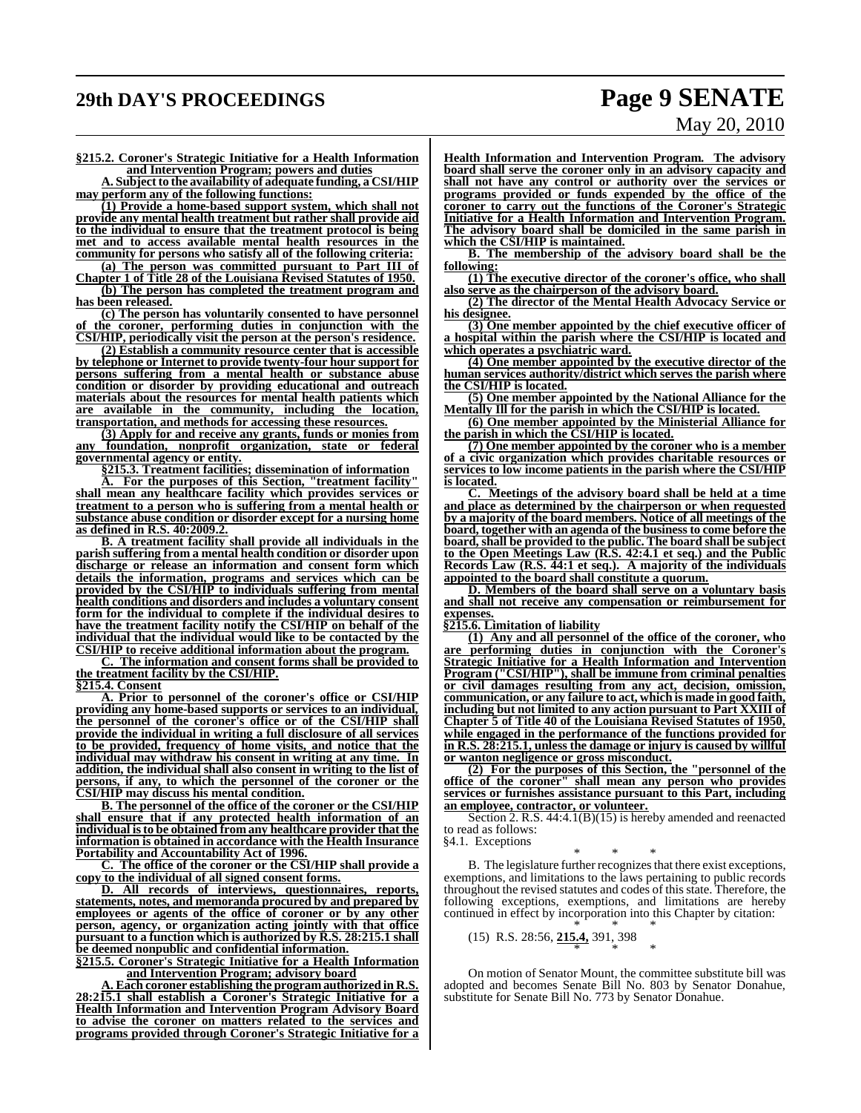# **29th DAY'S PROCEEDINGS Page 9 SENATE**

# May 20, 2010

**§215.2. Coroner's Strategic Initiative for a Health Information and Intervention Program; powers and duties**

**A. Subject to the availability of adequate funding, a CSI/HIP may perform any of the following functions:**

**(1) Provide a home-based support system, which shall not provide any mental health treatment but rather shall provide aid to the individual to ensure that the treatment protocol is being met and to access available mental health resources in the community for persons who satisfy all of the following criteria:**

**(a) The person was committed pursuant to Part III of Chapter 1 of Title 28 of the Louisiana Revised Statutes of 1950.**

**(b) The person has completed the treatment program and has been released.**

**(c) The person has voluntarily consented to have personnel of the coroner, performing duties in conjunction with the CSI/HIP, periodically visit the person at the person's residence.**

**(2) Establish a community resource center that is accessible by telephone or Internet to provide twenty-four hour support for persons suffering from a mental health or substance abuse condition or disorder by providing educational and outreach materials about the resources for mental health patients which are available in the community, including the location, transportation, and methods for accessing these resources.**

**(3) Apply for and receive any grants, funds or monies from any foundation, nonprofit organization, state or federal governmental agency or entity.**

**§215.3. Treatment facilities; dissemination of information**

**A. For the purposes of this Section, "treatment facility" shall mean any healthcare facility which provides services or treatment to a person who is suffering from a mental health or substance abuse condition or disorder except for a nursing home as defined in R.S. 40:2009.2.**

**B. A treatment facility shall provide all individuals in the parish suffering from a mental health condition or disorder upon discharge or release an information and consent form which details the information, programs and services which can be provided by the CSI/HIP to individuals suffering from mental health conditions and disorders and includes a voluntary consent form for the individual to complete if the individual desires to have the treatment facility notify the CSI/HIP on behalf of the individual that the individual would like to be contacted by the CSI/HIP to receive additional information about the program.**

**C. The information and consent forms shall be provided to the treatment facility by the CSI/HIP.**

**§215.4. Consent**

**A. Prior to personnel of the coroner's office or CSI/HIP providing any home-based supports or services to an individual, the personnel of the coroner's office or of the CSI/HIP shall provide the individual in writing a full disclosure of all services to be provided, frequency of home visits, and notice that the individual may withdraw his consent in writing at any time. In addition, the individual shall also consent in writing to the list of persons, if any, to which the personnel of the coroner or the CSI/HIP may discuss his mental condition.**

**B. The personnel of the office of the coroner or the CSI/HIP shall ensure that if any protected health information of an individual isto be obtained from any healthcare provider that the information is obtained in accordance with the Health Insurance Portability and Accountability Act of 1996.**

**C. The office of the coroner or the CSI/HIP shall provide a copy to the individual of all signed consent forms.**

**D. All records of interviews, questionnaires, reports, statements, notes, and memoranda procured by and prepared by employees or agents of the office of coroner or by any other person, agency, or organization acting jointly with that office pursuant to a function which is authorized by R.S. 28:215.1 shall be deemed nonpublic and confidential information.**

**§215.5. Coroner's Strategic Initiative for a Health Information and Intervention Program; advisory board**

**A. Each coroner establishing the program authorized in R.S. 28:215.1 shall establish a Coroner's Strategic Initiative for a Health Information and Intervention Program Advisory Board to advise the coroner on matters related to the services and programs provided through Coroner's Strategic Initiative for a**

**Health Information and Intervention Program. The advisory board shall serve the coroner only in an advisory capacity and shall not have any control or authority over the services or programs provided or funds expended by the office of the coroner to carry out the functions of the Coroner's Strategic Initiative for a Health Information and Intervention Program. The advisory board shall be domiciled in the same parish in which the CSI/HIP is maintained.**

**B. The membership of the advisory board shall be the following:**

**(1) The executive director of the coroner's office, who shall also serve as the chairperson of the advisory board.**

**(2) The director of the Mental Health Advocacy Service or his designee.**

**(3) One member appointed by the chief executive officer of a hospital within the parish where the CSI/HIP is located and which operates a psychiatric ward.**

**(4) One member appointed by the executive director of the human services authority/district which serves the parish where the CSI/HIP is located.**

**(5) One member appointed by the National Alliance for the Mentally Ill for the parish in which the CSI/HIP is located.**

**(6) One member appointed by the Ministerial Alliance for the parish in which the CSI/HIP is located.**

**(7) One member appointed by the coroner who is a member of a civic organization which provides charitable resources or services to low income patients in the parish where the CSI/HIP is located.**

**C. Meetings of the advisory board shall be held at a time and place as determined by the chairperson or when requested by a majority of the board members. Notice of all meetings of the board, together with an agenda of the businessto come before the board, shall be provided to the public. The board shall be subject to the Open Meetings Law (R.S. 42:4.1 et seq.) and the Public Records Law (R.S. 44:1 et seq.). A majority of the individuals appointed to the board shall constitute a quorum.**

**D. Members of the board shall serve on a voluntary basis and shall not receive any compensation or reimbursement for expenses.**

**§215.6. Limitation of liability**

**(1) Any and all personnel of the office of the coroner, who are performing duties in conjunction with the Coroner's Strategic Initiative for a Health Information and Intervention Program ("CSI/HIP"), shall be immune from criminal penalties or civil damages resulting from any act, decision, omission, communication, or any failure to act, which is made in good faith, including but not limited to any action pursuant to Part XXIII of Chapter 5 of Title 40 of the Louisiana Revised Statutes of 1950, while engaged in the performance of the functions provided for in R.S. 28:215.1, unless the damage or injury is caused by willful or wanton negligence or gross misconduct.**

**(2) For the purposes of this Section, the "personnel of the office of the coroner" shall mean any person who provides services or furnishes assistance pursuant to this Part, including an employee, contractor, or volunteer.**

Section 2.  $\overline{R.S. 44:4.1(B)(15)}$  is hereby amended and reenacted to read as follows:

§4.1. Exceptions

\* \* \* B. The legislature further recognizes that there exist exceptions, exemptions, and limitations to the laws pertaining to public records throughout the revised statutes and codes of thisstate. Therefore, the following exceptions, exemptions, and limitations are hereby continued in effect by incorporation into this Chapter by citation:

(15) R.S. 28:56, 
$$
\frac{215.4}{*}
$$
, 391, 398

On motion of Senator Mount, the committee substitute bill was adopted and becomes Senate Bill No. 803 by Senator Donahue, substitute for Senate Bill No. 773 by Senator Donahue.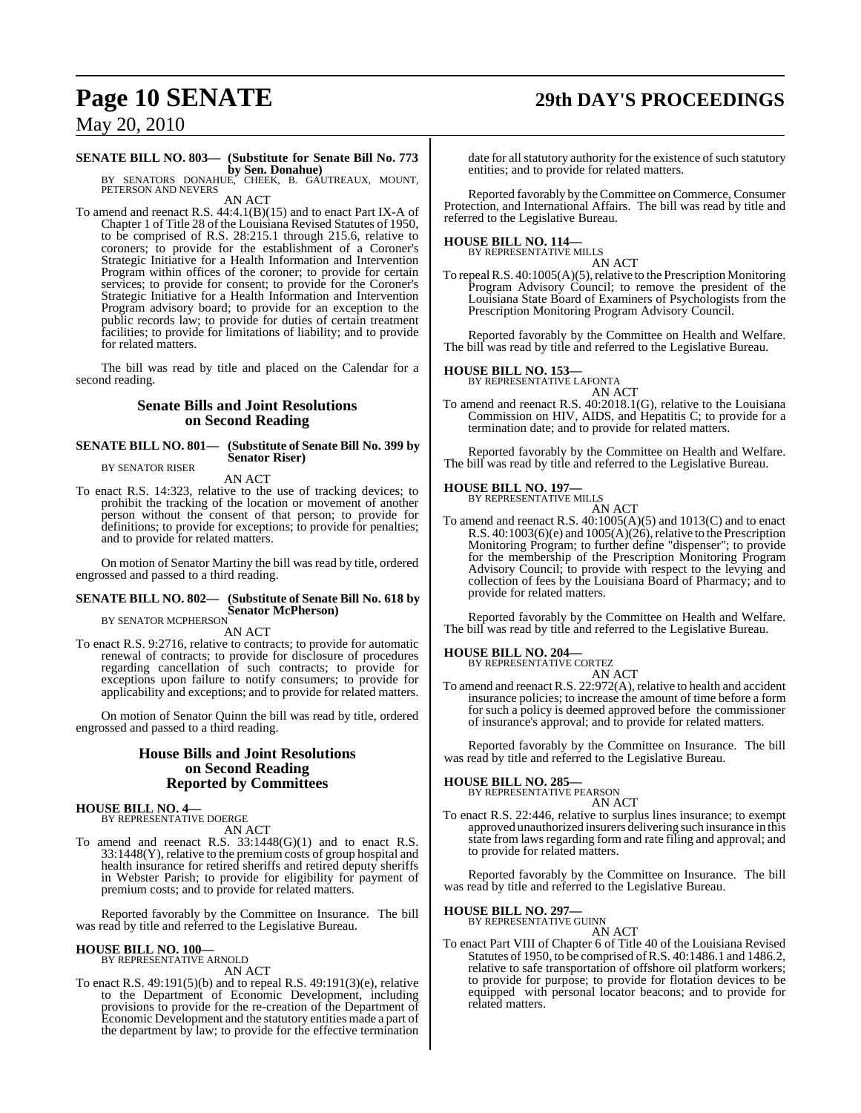# **Page 10 SENATE 29th DAY'S PROCEEDINGS**

## May 20, 2010

## **SENATE BILL NO. 803— (Substitute for Senate Bill No. 773**

**by Sen. Donahue)**<br>BY SENATORS DONAHUE, CHEEK, B. GAUTREAUX, MOUNT,<br>PETERSON AND NEVERS

AN ACT

To amend and reenact R.S. 44:4.1(B)(15) and to enact Part IX-A of Chapter 1 of Title 28 of the Louisiana Revised Statutes of 1950, to be comprised of R.S. 28:215.1 through 215.6, relative to coroners; to provide for the establishment of a Coroner's Strategic Initiative for a Health Information and Intervention Program within offices of the coroner; to provide for certain services; to provide for consent; to provide for the Coroner's Strategic Initiative for a Health Information and Intervention Program advisory board; to provide for an exception to the public records law; to provide for duties of certain treatment facilities; to provide for limitations of liability; and to provide for related matters.

The bill was read by title and placed on the Calendar for a second reading.

#### **Senate Bills and Joint Resolutions on Second Reading**

#### **SENATE BILL NO. 801— (Substitute of Senate Bill No. 399 by Senator Riser)** BY SENATOR RISER

AN ACT

To enact R.S. 14:323, relative to the use of tracking devices; to prohibit the tracking of the location or movement of another person without the consent of that person; to provide for definitions; to provide for exceptions; to provide for penalties; and to provide for related matters.

On motion of Senator Martiny the bill was read by title, ordered engrossed and passed to a third reading.

## **SENATE BILL NO. 802— (Substitute of Senate Bill No. 618 by Senator McPherson)** BY SENATOR MCPHERSON

AN ACT

To enact R.S. 9:2716, relative to contracts; to provide for automatic renewal of contracts; to provide for disclosure of procedures regarding cancellation of such contracts; to provide for exceptions upon failure to notify consumers; to provide for applicability and exceptions; and to provide for related matters.

On motion of Senator Quinn the bill was read by title, ordered engrossed and passed to a third reading.

#### **House Bills and Joint Resolutions on Second Reading Reported by Committees**

## **HOUSE BILL NO. 4—** BY REPRESENTATIVE DOERGE

AN ACT

To amend and reenact R.S.  $33:1448(G)(1)$  and to enact R.S.  $33:1448(Y)$ , relative to the premium costs of group hospital and health insurance for retired sheriffs and retired deputy sheriffs in Webster Parish; to provide for eligibility for payment of premium costs; and to provide for related matters.

Reported favorably by the Committee on Insurance. The bill was read by title and referred to the Legislative Bureau.

#### **HOUSE BILL NO. 100—** BY REPRESENTATIVE ARNOLD

AN ACT

To enact R.S. 49:191(5)(b) and to repeal R.S. 49:191(3)(e), relative to the Department of Economic Development, including provisions to provide for the re-creation of the Department of Economic Development and the statutory entities made a part of the department by law; to provide for the effective termination

date for all statutory authority for the existence of such statutory entities; and to provide for related matters.

Reported favorably by the Committee on Commerce, Consumer Protection, and International Affairs. The bill was read by title and referred to the Legislative Bureau.

#### **HOUSE BILL NO. 114—** BY REPRESENTATIVE MILLS

AN ACT

To repeal R.S. 40:1005(A)(5), relative to the Prescription Monitoring Program Advisory Council; to remove the president of the Louisiana State Board of Examiners of Psychologists from the Prescription Monitoring Program Advisory Council.

Reported favorably by the Committee on Health and Welfare. The bill was read by title and referred to the Legislative Bureau.

# **HOUSE BILL NO. 153—** BY REPRESENTATIVE LAFONTA

#### AN ACT

To amend and reenact R.S. 40:2018.1(G), relative to the Louisiana Commission on HIV, AIDS, and Hepatitis C; to provide for a termination date; and to provide for related matters.

Reported favorably by the Committee on Health and Welfare. The bill was read by title and referred to the Legislative Bureau.

### **HOUSE BILL NO. 197—**

BY REPRESENTATIVE MILLS AN ACT

To amend and reenact R.S. 40:1005(A)(5) and 1013(C) and to enact R.S.  $40:1003(6)(e)$  and  $1005(A)(26)$ , relative to the Prescription Monitoring Program; to further define "dispenser"; to provide for the membership of the Prescription Monitoring Program Advisory Council; to provide with respect to the levying and collection of fees by the Louisiana Board of Pharmacy; and to provide for related matters.

Reported favorably by the Committee on Health and Welfare. The bill was read by title and referred to the Legislative Bureau.

#### **HOUSE BILL NO. 204—**

BY REPRESENTATIVE CORTEZ

AN ACT To amend and reenact R.S. 22:972(A), relative to health and accident insurance policies; to increase the amount of time before a form for such a policy is deemed approved before the commissioner of insurance's approval; and to provide for related matters.

Reported favorably by the Committee on Insurance. The bill was read by title and referred to the Legislative Bureau.

## **HOUSE BILL NO. 285—** BY REPRESENTATIVE PEARSON

AN ACT

To enact R.S. 22:446, relative to surplus lines insurance; to exempt approved unauthorized insurers delivering such insurance in this state from laws regarding form and rate filing and approval; and to provide for related matters.

Reported favorably by the Committee on Insurance. The bill was read by title and referred to the Legislative Bureau.

#### **HOUSE BILL NO. 297—**

BY REPRESENTATIVE GUINN AN ACT

To enact Part VIII of Chapter 6 of Title 40 of the Louisiana Revised Statutes of 1950, to be comprised ofR.S. 40:1486.1 and 1486.2, relative to safe transportation of offshore oil platform workers; to provide for purpose; to provide for flotation devices to be equipped with personal locator beacons; and to provide for related matters.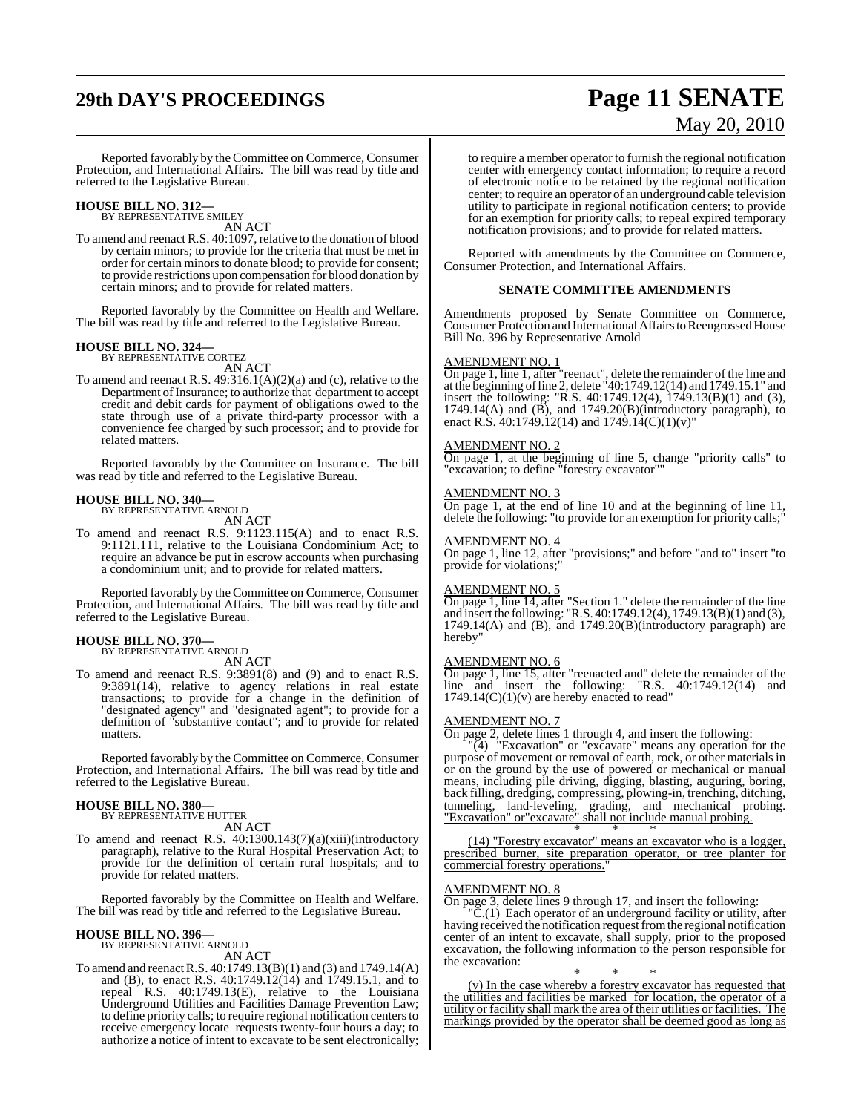# **29th DAY'S PROCEEDINGS Page 11 SENATE**

# May 20, 2010

Reported favorably by the Committee on Commerce, Consumer Protection, and International Affairs. The bill was read by title and referred to the Legislative Bureau.

**HOUSE BILL NO. 312—** BY REPRESENTATIVE SMILEY

AN ACT

To amend and reenact R.S. 40:1097, relative to the donation of blood by certain minors; to provide for the criteria that must be met in order for certain minors to donate blood; to provide for consent; to provide restrictions upon compensation for blood donation by certain minors; and to provide for related matters.

Reported favorably by the Committee on Health and Welfare. The bill was read by title and referred to the Legislative Bureau.

## **HOUSE BILL NO. 324—** BY REPRESENTATIVE CORTEZ

AN ACT

To amend and reenact R.S. 49:316.1(A)(2)(a) and (c), relative to the Department of Insurance; to authorize that department to accept credit and debit cards for payment of obligations owed to the state through use of a private third-party processor with a convenience fee charged by such processor; and to provide for related matters.

Reported favorably by the Committee on Insurance. The bill was read by title and referred to the Legislative Bureau.

### **HOUSE BILL NO. 340—**

BY REPRESENTATIVE ARNOLD AN ACT

To amend and reenact R.S. 9:1123.115(A) and to enact R.S. 9:1121.111, relative to the Louisiana Condominium Act; to require an advance be put in escrow accounts when purchasing a condominium unit; and to provide for related matters.

Reported favorably by the Committee on Commerce, Consumer Protection, and International Affairs. The bill was read by title and referred to the Legislative Bureau.

#### **HOUSE BILL NO. 370—**

BY REPRESENTATIVE ARNOLD AN ACT

To amend and reenact R.S. 9:3891(8) and (9) and to enact R.S. 9:3891(14), relative to agency relations in real estate transactions; to provide for a change in the definition of "designated agency" and "designated agent"; to provide for a definition of "substantive contact"; and to provide for related matters.

Reported favorably by the Committee on Commerce, Consumer Protection, and International Affairs. The bill was read by title and referred to the Legislative Bureau.

#### **HOUSE BILL NO. 380—** BY REPRESENTATIVE HUTTER

AN ACT

To amend and reenact R.S. 40:1300.143(7)(a)(xiii)(introductory paragraph), relative to the Rural Hospital Preservation Act; to provide for the definition of certain rural hospitals; and to provide for related matters.

Reported favorably by the Committee on Health and Welfare. The bill was read by title and referred to the Legislative Bureau.

#### **HOUSE BILL NO. 396—**

BY REPRESENTATIVE ARNOLD AN ACT

To amend and reenactR.S. 40:1749.13(B)(1) and (3) and 1749.14(A) and (B), to enact R.S. 40:1749.12(14) and 1749.15.1, and to repeal R.S. 40:1749.13(E), relative to the Louisiana Underground Utilities and Facilities Damage Prevention Law; to define priority calls; to require regional notification centers to receive emergency locate requests twenty-four hours a day; to authorize a notice of intent to excavate to be sent electronically; to require a member operator to furnish the regional notification center with emergency contact information; to require a record of electronic notice to be retained by the regional notification center; to require an operator of an underground cable television utility to participate in regional notification centers; to provide for an exemption for priority calls; to repeal expired temporary notification provisions; and to provide for related matters.

Reported with amendments by the Committee on Commerce, Consumer Protection, and International Affairs.

#### **SENATE COMMITTEE AMENDMENTS**

Amendments proposed by Senate Committee on Commerce, Consumer Protection and International Affairs to Reengrossed House Bill No. 396 by Representative Arnold

#### AMENDMENT NO. 1

On page 1, line 1, after "reenact", delete the remainder of the line and at the beginning of line 2, delete "40:1749.12(14) and 1749.15.1" and insert the following: "R.S. 40:1749.12(4), 1749.13(B)(1) and (3), 1749.14(A) and  $(\overline{B})$ , and 1749.20 $(B)$ (introductory paragraph), to enact R.S.  $40:1749.12(14)$  and  $1749.14(C)(1)(v)'$ 

#### AMENDMENT NO. 2

On page 1, at the beginning of line 5, change "priority calls" to "excavation; to define "forestry excavator""

#### AMENDMENT NO. 3

On page 1, at the end of line 10 and at the beginning of line 11, delete the following: "to provide for an exemption for priority calls;"

#### AMENDMENT NO. 4

On page 1, line 12, after "provisions;" and before "and to" insert "to provide for violations;

#### AMENDMENT NO. 5

On page 1, line 14, after "Section 1." delete the remainder of the line and insert the following: "R.S. 40:1749.12(4), 1749.13(B)(1) and (3),  $1749.14(A)$  and  $(B)$ , and  $1749.20(B)$ (introductory paragraph) are hereby"

#### AMENDMENT NO. 6

On page 1, line 15, after "reenacted and" delete the remainder of the line and insert the following: "R.S. 40:1749.12(14) and  $1749.14(C)(1)(v)$  are hereby enacted to read"

#### AMENDMENT NO. 7

On page 2, delete lines 1 through 4, and insert the following:

"(4) "Excavation" or "excavate" means any operation for the purpose of movement or removal of earth, rock, or other materials in or on the ground by the use of powered or mechanical or manual means, including pile driving, digging, blasting, auguring, boring, back filling, dredging, compressing, plowing-in, trenching, ditching, tunneling, land-leveling, grading, and mechanical probing. "Excavation" or"excavate" shall not include manual probing.

\* \* \* (14) "Forestry excavator" means an excavator who is a logger, prescribed burner, site preparation operator, or tree planter for commercial forestry operations."

### AMENDMENT NO. 8

On page 3, delete lines 9 through 17, and insert the following:

 $\overline{C}$ .(1) Each operator of an underground facility or utility, after having received the notification request from the regional notification center of an intent to excavate, shall supply, prior to the proposed excavation, the following information to the person responsible for the excavation:

\* \* \* (v) In the case whereby a forestry excavator has requested that the utilities and facilities be marked for location, the operator of a utility or facility shall mark the area of their utilities or facilities. The markings provided by the operator shall be deemed good as long as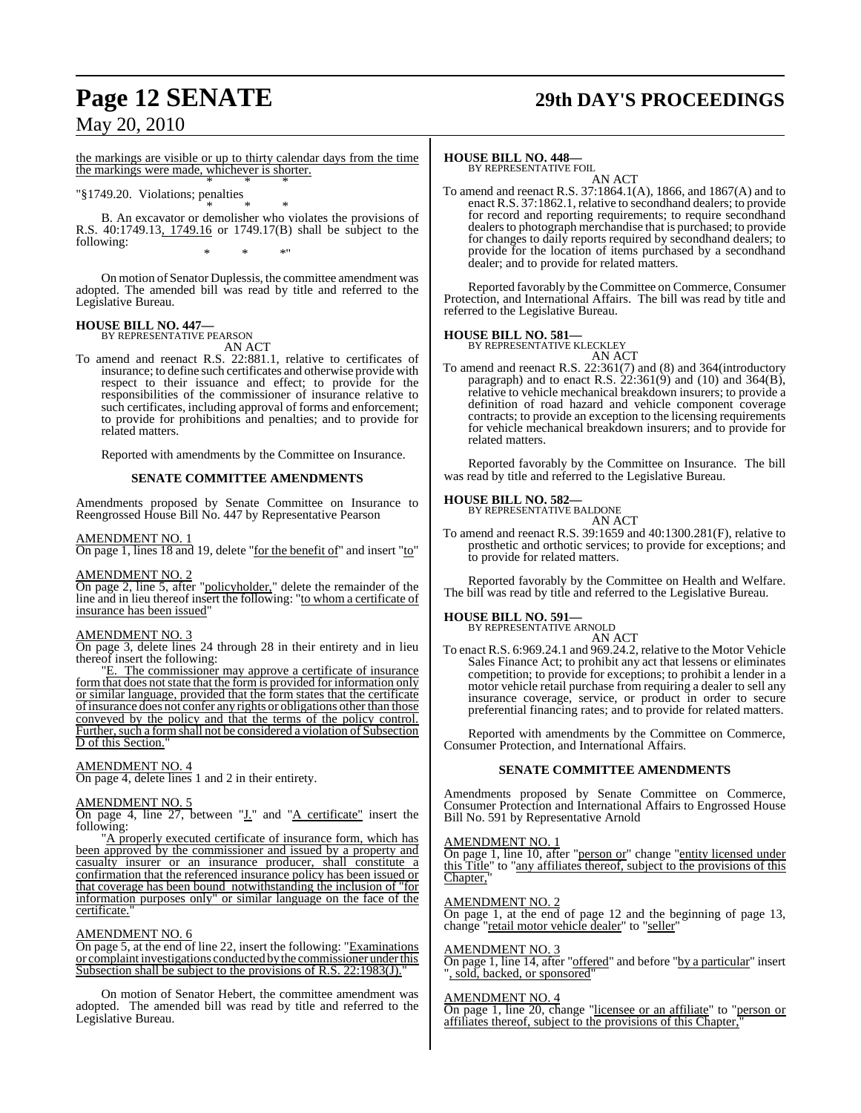# **Page 12 SENATE 29th DAY'S PROCEEDINGS**

## May 20, 2010

the markings are visible or up to thirty calendar days from the time the markings were made, whichever is shorter. \* \* \*

### "§1749.20. Violations; penalties

\* \* \* B. An excavator or demolisher who violates the provisions of R.S. 40:1749.13, 1749.16 or 1749.17(B) shall be subject to the following: \* \* \*"

On motion of Senator Duplessis, the committee amendment was adopted. The amended bill was read by title and referred to the Legislative Bureau.

## **HOUSE BILL NO. 447—** BY REPRESENTATIVE PEARSON

- AN ACT
- To amend and reenact R.S. 22:881.1, relative to certificates of insurance; to define such certificates and otherwise provide with respect to their issuance and effect; to provide for the responsibilities of the commissioner of insurance relative to such certificates, including approval of forms and enforcement; to provide for prohibitions and penalties; and to provide for related matters.

Reported with amendments by the Committee on Insurance.

#### **SENATE COMMITTEE AMENDMENTS**

Amendments proposed by Senate Committee on Insurance to Reengrossed House Bill No. 447 by Representative Pearson

#### AMENDMENT NO. 1

On page 1, lines 18 and 19, delete "for the benefit of" and insert "to"

#### AMENDMENT NO. 2

On page 2, line 5, after "policyholder," delete the remainder of the line and in lieu thereof insert the following: "to whom a certificate of insurance has been issued"

#### AMENDMENT NO. 3

On page 3, delete lines 24 through 28 in their entirety and in lieu thereof insert the following:

"E. The commissioner may approve a certificate of insurance form that does not state that the form is provided for information only or similar language, provided that the form states that the certificate of insurance does not confer any rights or obligations other than those conveyed by the policy and that the terms of the policy control. Further, such a form shall not be considered a violation of Subsection D of this Section.

#### AMENDMENT NO. 4

On page 4, delete lines 1 and 2 in their entirety.

#### AMENDMENT NO. 5

On page 4, line 27, between "*J*." and "*A* certificate" insert the following:

"A properly executed certificate of insurance form, which has been approved by the commissioner and issued by a property and casualty insurer or an insurance producer, shall constitute a confirmation that the referenced insurance policy has been issued or that coverage has been bound notwithstanding the inclusion of "for information purposes only" or similar language on the face of the certificate.

#### AMENDMENT NO. 6

On page 5, at the end of line 22, insert the following: "Examinations or complaint investigations conducted by the commissioner under this Subsection shall be subject to the provisions of R.S. 22:1983(J).

On motion of Senator Hebert, the committee amendment was adopted. The amended bill was read by title and referred to the Legislative Bureau.

### **HOUSE BILL NO. 448—**

BY REPRESENTATIVE FOIL

AN ACT To amend and reenact R.S. 37:1864.1(A), 1866, and 1867(A) and to enact R.S. 37:1862.1, relative to secondhand dealers; to provide for record and reporting requirements; to require secondhand dealers to photograph merchandise that is purchased; to provide for changes to daily reports required by secondhand dealers; to provide for the location of items purchased by a secondhand dealer; and to provide for related matters.

Reported favorably by the Committee on Commerce, Consumer Protection, and International Affairs. The bill was read by title and referred to the Legislative Bureau.

#### **HOUSE BILL NO. 581—**

BY REPRESENTATIVE KLECKLEY AN ACT

To amend and reenact R.S. 22:361(7) and (8) and 364(introductory paragraph) and to enact R.S.  $22:361(9)$  and  $(10)$  and  $364(B)$ , relative to vehicle mechanical breakdown insurers; to provide a definition of road hazard and vehicle component coverage contracts; to provide an exception to the licensing requirements for vehicle mechanical breakdown insurers; and to provide for related matters.

Reported favorably by the Committee on Insurance. The bill was read by title and referred to the Legislative Bureau.

#### **HOUSE BILL NO. 582—**

BY REPRESENTATIVE BALDONE AN ACT

To amend and reenact R.S. 39:1659 and 40:1300.281(F), relative to prosthetic and orthotic services; to provide for exceptions; and to provide for related matters.

Reported favorably by the Committee on Health and Welfare. The bill was read by title and referred to the Legislative Bureau.

## **HOUSE BILL NO. 591—** BY REPRESENTATIVE ARNOLD

AN ACT

To enact R.S. 6:969.24.1 and 969.24.2, relative to the Motor Vehicle Sales Finance Act; to prohibit any act that lessens or eliminates competition; to provide for exceptions; to prohibit a lender in a motor vehicle retail purchase from requiring a dealer to sell any insurance coverage, service, or product in order to secure preferential financing rates; and to provide for related matters.

Reported with amendments by the Committee on Commerce, Consumer Protection, and International Affairs.

#### **SENATE COMMITTEE AMENDMENTS**

Amendments proposed by Senate Committee on Commerce, Consumer Protection and International Affairs to Engrossed House Bill No. 591 by Representative Arnold

#### AMENDMENT NO. 1

On page 1, line 10, after "person or" change "entity licensed under this Title" to "any affiliates thereof, subject to the provisions of this Chapter.

#### AMENDMENT NO. 2

On page 1, at the end of page 12 and the beginning of page 13, change "retail motor vehicle dealer" to "seller"

#### AMENDMENT NO. 3

On page 1, line 14, after "offered" and before "by a particular" insert , sold, backed, or sponsored

#### AMENDMENT NO. 4

On page 1, line 20, change "licensee or an affiliate" to "person or affiliates thereof, subject to the provisions of this Chapter,"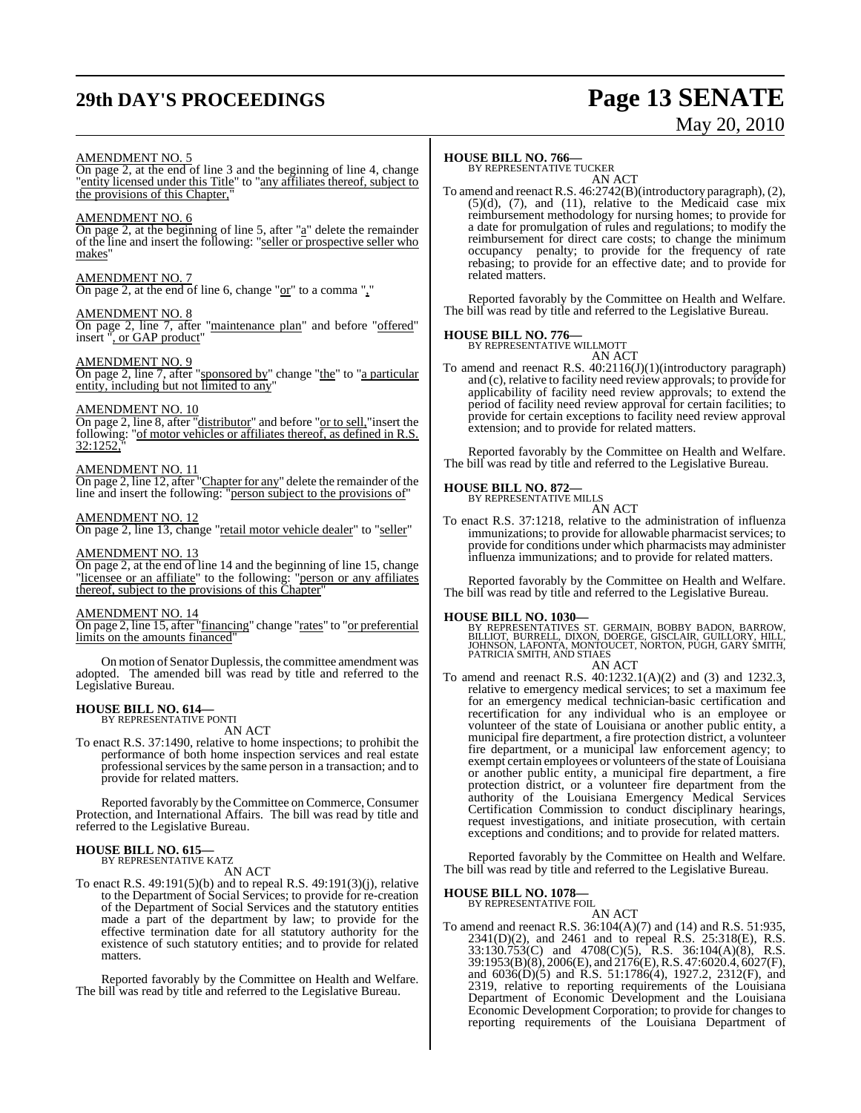# **29th DAY'S PROCEEDINGS Page 13 SENATE**

# May 20, 2010

#### AMENDMENT NO. 5

On page 2, at the end of line 3 and the beginning of line 4, change "entity licensed under this Title" to "any affiliates thereof, subject to the provisions of this Chapter,

#### AMENDMENT NO. 6

On page 2, at the beginning of line 5, after "a" delete the remainder of the line and insert the following: "seller or prospective seller who makes"

### AMENDMENT NO. 7

On page 2, at the end of line 6, change " $or$ " to a comma ","</u>

#### AMENDMENT NO. 8

On page 2, line 7, after "maintenance plan" and before "offered" insert ", or GAP product"

#### AMENDMENT NO. 9

On page 2, line 7, after "sponsored by" change "the" to "a particular entity, including but not limited to any"

#### AMENDMENT NO. 10

On page 2, line 8, after "distributor" and before "<u>or to sell,</u>"insert the following: "of motor vehicles or affiliates thereof, as defined in R.S. 32:1252,

#### AMENDMENT NO. 11

On page 2, line 12, after "Chapter for any" delete the remainder of the line and insert the following: "person subject to the provisions of"

#### AMENDMENT NO. 12

On page 2, line 13, change "retail motor vehicle dealer" to "seller"

#### AMENDMENT NO. 13

On page 2, at the end of line 14 and the beginning of line 15, change "licensee or an affiliate" to the following: "person or any affiliates thereof, subject to the provisions of this Chapter"

#### AMENDMENT NO. 14

On page 2, line 15, after "financing" change "rates" to "or preferential limits on the amounts financed'

On motion of Senator Duplessis, the committee amendment was adopted. The amended bill was read by title and referred to the Legislative Bureau.

#### **HOUSE BILL NO. 614—** BY REPRESENTATIVE PONTI

AN ACT

To enact R.S. 37:1490, relative to home inspections; to prohibit the performance of both home inspection services and real estate professional services by the same person in a transaction; and to provide for related matters.

Reported favorably by the Committee on Commerce, Consumer Protection, and International Affairs. The bill was read by title and referred to the Legislative Bureau.

## **HOUSE BILL NO. 615—** BY REPRESENTATIVE KATZ

AN ACT

To enact R.S. 49:191(5)(b) and to repeal R.S. 49:191(3)(j), relative to the Department of Social Services; to provide for re-creation of the Department of Social Services and the statutory entities made a part of the department by law; to provide for the effective termination date for all statutory authority for the existence of such statutory entities; and to provide for related matters.

Reported favorably by the Committee on Health and Welfare. The bill was read by title and referred to the Legislative Bureau.

## **HOUSE BILL NO. 766—** BY REPRESENTATIVE TUCKER

AN ACT

To amend and reenact R.S. 46:2742(B)(introductory paragraph), (2),  $(5)(d)$ ,  $(7)$ , and  $(11)$ , relative to the Medicaid case mix reimbursement methodology for nursing homes; to provide for a date for promulgation of rules and regulations; to modify the reimbursement for direct care costs; to change the minimum occupancy penalty; to provide for the frequency of rate rebasing; to provide for an effective date; and to provide for related matters.

Reported favorably by the Committee on Health and Welfare. The bill was read by title and referred to the Legislative Bureau.

#### **HOUSE BILL NO. 776—**

BY REPRESENTATIVE WILLMOTT AN ACT

To amend and reenact R.S. 40:2116(J)(1)(introductory paragraph) and (c), relative to facility need review approvals; to provide for applicability of facility need review approvals; to extend the period of facility need review approval for certain facilities; to provide for certain exceptions to facility need review approval extension; and to provide for related matters.

Reported favorably by the Committee on Health and Welfare. The bill was read by title and referred to the Legislative Bureau.

#### **HOUSE BILL NO. 872—**

BY REPRESENTATIVE MILLS AN ACT

To enact R.S. 37:1218, relative to the administration of influenza immunizations; to provide for allowable pharmacist services; to provide for conditions under which pharmacists may administer influenza immunizations; and to provide for related matters.

Reported favorably by the Committee on Health and Welfare. The bill was read by title and referred to the Legislative Bureau.

**HOUSE BILL NO. 1030—**<br>BY REPRESENTATIVES ST. GERMAIN, BOBBY BADON, BARROW,<br>BILLIOT, BURRELL, DIXON, DOERGE, GISCLAIR, GUILLORY, HILL,<br>JOHNSON, LAFONTA, MONTOUCET, NORTON, PUGH, GARY SMITH,<br>PATRICIA SMITH, AND STIAES AN ACT

To amend and reenact R.S. 40:1232.1(A)(2) and (3) and 1232.3, relative to emergency medical services; to set a maximum fee for an emergency medical technician-basic certification and recertification for any individual who is an employee or volunteer of the state of Louisiana or another public entity, a municipal fire department, a fire protection district, a volunteer fire department, or a municipal law enforcement agency; to exempt certain employees or volunteers of the state of Louisiana or another public entity, a municipal fire department, a fire protection district, or a volunteer fire department from the authority of the Louisiana Emergency Medical Services Certification Commission to conduct disciplinary hearings, request investigations, and initiate prosecution, with certain exceptions and conditions; and to provide for related matters.

Reported favorably by the Committee on Health and Welfare. The bill was read by title and referred to the Legislative Bureau.

#### **HOUSE BILL NO. 1078—** BY REPRESENTATIVE FOIL

AN ACT To amend and reenact R.S. 36:104(A)(7) and (14) and R.S. 51:935, 2341(D)(2), and 2461 and to repeal R.S. 25:318(E), R.S. 33:130.753(C) and 4708(C)(5), R.S. 36:104(A)(8), R.S. 39:1953(B)(8), 2006(E), and 2176(E), R.S. 47:6020.4, 6027(F), and  $6036(D)(5)$  and R.S. 51:1786(4), 1927.2, 2312(F), and 2319, relative to reporting requirements of the Louisiana Department of Economic Development and the Louisiana Economic Development Corporation; to provide for changes to reporting requirements of the Louisiana Department of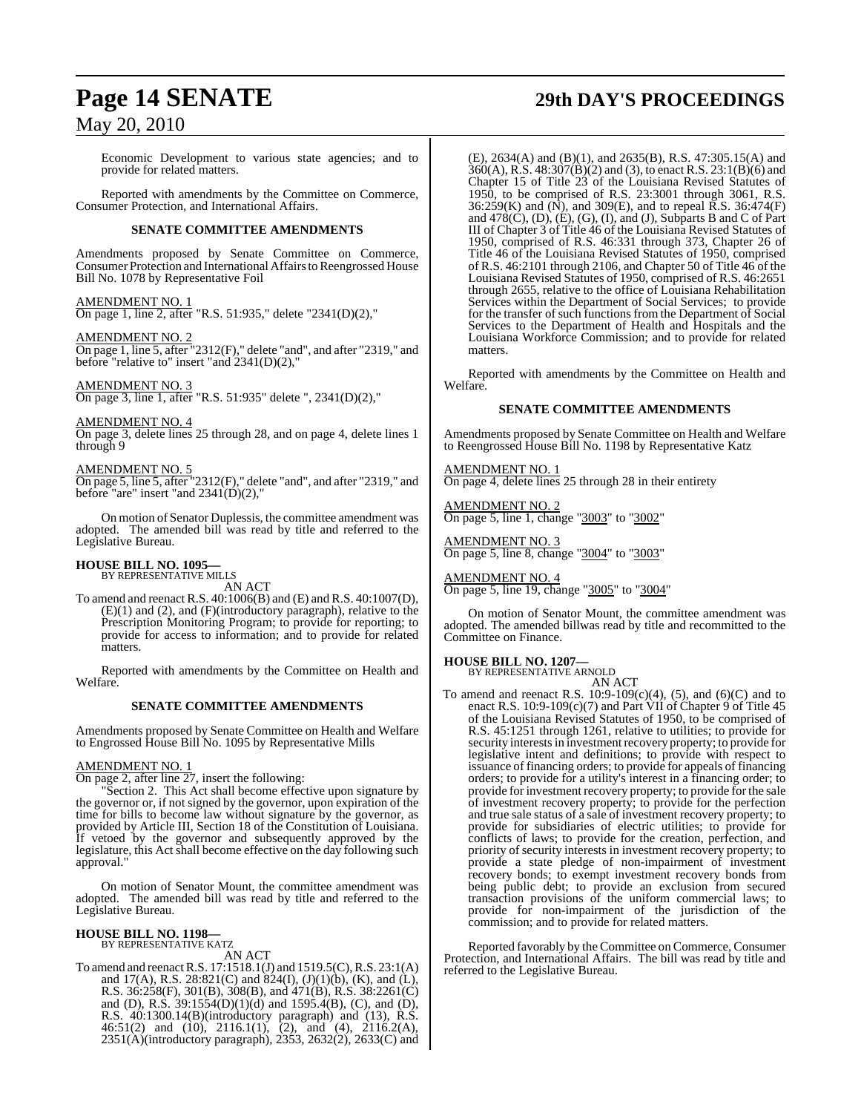Economic Development to various state agencies; and to provide for related matters.

Reported with amendments by the Committee on Commerce, Consumer Protection, and International Affairs.

#### **SENATE COMMITTEE AMENDMENTS**

Amendments proposed by Senate Committee on Commerce, Consumer Protection and International Affairs to Reengrossed House Bill No. 1078 by Representative Foil

#### AMENDMENT NO. 1

On page 1, line 2, after "R.S. 51:935," delete "2341(D)(2),"

#### AMENDMENT NO. 2

On page 1, line 5, after "2312(F)," delete "and", and after "2319," and before "relative to" insert "and 2341(D)(2),"

#### AMENDMENT NO. 3

On page 3, line 1, after "R.S. 51:935" delete ", 2341(D)(2),"

#### AMENDMENT NO. 4

On page 3, delete lines 25 through 28, and on page 4, delete lines 1 through 9

#### AMENDMENT NO. 5

On page 5, line 5, after "2312(F)," delete "and", and after "2319," and before "are" insert "and  $2341(D)(2)$ ,"

On motion of Senator Duplessis, the committee amendment was adopted. The amended bill was read by title and referred to the Legislative Bureau.

## **HOUSE BILL NO. 1095—** BY REPRESENTATIVE MILLS

AN ACT

To amend and reenact R.S. 40:1006(B) and (E) and R.S. 40:1007(D), (E)(1) and (2), and (F)(introductory paragraph), relative to the Prescription Monitoring Program; to provide for reporting; to provide for access to information; and to provide for related matters.

Reported with amendments by the Committee on Health and Welfare.

#### **SENATE COMMITTEE AMENDMENTS**

Amendments proposed by Senate Committee on Health and Welfare to Engrossed House Bill No. 1095 by Representative Mills

#### AMENDMENT NO. 1

On page 2, after line 27, insert the following:

"Section 2. This Act shall become effective upon signature by the governor or, if not signed by the governor, upon expiration of the time for bills to become law without signature by the governor, as provided by Article III, Section 18 of the Constitution of Louisiana. If vetoed by the governor and subsequently approved by the legislature, this Act shall become effective on the day following such approval."

On motion of Senator Mount, the committee amendment was adopted. The amended bill was read by title and referred to the Legislative Bureau.

#### **HOUSE BILL NO. 1198—** BY REPRESENTATIVE KATZ

AN ACT

To amend and reenactR.S. 17:1518.1(J) and 1519.5(C),R.S. 23:1(A) and 17(A), R.S. 28:821(C) and 824(I),  $(J)(1)(b)$ ,  $(K)$ , and  $(L)$ , R.S. 36:258(F), 301(B), 308(B), and 471(B), R.S. 38:2261(C) and (D), R.S.  $39:1554(D)(1)(d)$  and  $1595.4(B)$ , (C), and (D), R.S. 40:1300.14(B)(introductory paragraph) and (13), R.S. 46:51(2) and (10), 2116.1(1),  $(2)$ , and (4), 2116.2(A), 2351(A)(introductory paragraph), 2353, 2632(2), 2633(C) and

# **Page 14 SENATE 29th DAY'S PROCEEDINGS**

(E), 2634(A) and (B)(1), and 2635(B), R.S. 47:305.15(A) and 360(A), R.S. 48:307(B)(2) and (3), to enact R.S. 23:1(B)(6) and Chapter 15 of Title 23 of the Louisiana Revised Statutes of 1950, to be comprised of R.S. 23:3001 through 3061, R.S. 36:259(K) and (N), and 309(E), and to repeal R.S. 36:474(F) and 478(C), (D), (E), (G), (I), and (J), Subparts B and C of Part III of Chapter 3 of Title 46 of the Louisiana Revised Statutes of 1950, comprised of R.S. 46:331 through 373, Chapter 26 of Title 46 of the Louisiana Revised Statutes of 1950, comprised of R.S. 46:2101 through 2106, and Chapter 50 of Title 46 of the Louisiana Revised Statutes of 1950, comprised of R.S. 46:2651 through 2655, relative to the office of Louisiana Rehabilitation Services within the Department of Social Services; to provide for the transfer of such functions from the Department of Social Services to the Department of Health and Hospitals and the Louisiana Workforce Commission; and to provide for related matters.

Reported with amendments by the Committee on Health and Welfare.

### **SENATE COMMITTEE AMENDMENTS**

Amendments proposed by Senate Committee on Health and Welfare to Reengrossed House Bill No. 1198 by Representative Katz

AMENDMENT NO. 1 On page 4, delete lines 25 through 28 in their entirety

AMENDMENT NO. 2 On page 5, line 1, change "3003" to "3002"

AMENDMENT NO. 3 On page 5, line 8, change "3004" to "3003"

AMENDMENT NO. 4 On page 5, line 19, change "3005" to "3004"

On motion of Senator Mount, the committee amendment was adopted. The amended billwas read by title and recommitted to the Committee on Finance.

## **HOUSE BILL NO. 1207—** BY REPRESENTATIVE ARNOLD

AN ACT

To amend and reenact R.S.  $10:9-109(c)(4)$ , (5), and (6)(C) and to enact R.S. 10:9-109(c)(7) and Part VII of Chapter 9 of Title 45 of the Louisiana Revised Statutes of 1950, to be comprised of R.S. 45:1251 through 1261, relative to utilities; to provide for security interests in investment recovery property; to provide for legislative intent and definitions; to provide with respect to issuance of financing orders; to provide for appeals of financing orders; to provide for a utility's interest in a financing order; to provide for investment recovery property; to provide for the sale of investment recovery property; to provide for the perfection and true sale status of a sale of investment recovery property; to provide for subsidiaries of electric utilities; to provide for conflicts of laws; to provide for the creation, perfection, and priority of security interests in investment recovery property; to provide a state pledge of non-impairment of investment recovery bonds; to exempt investment recovery bonds from being public debt; to provide an exclusion from secured transaction provisions of the uniform commercial laws; to provide for non-impairment of the jurisdiction of the commission; and to provide for related matters.

Reported favorably by the Committee on Commerce, Consumer Protection, and International Affairs. The bill was read by title and referred to the Legislative Bureau.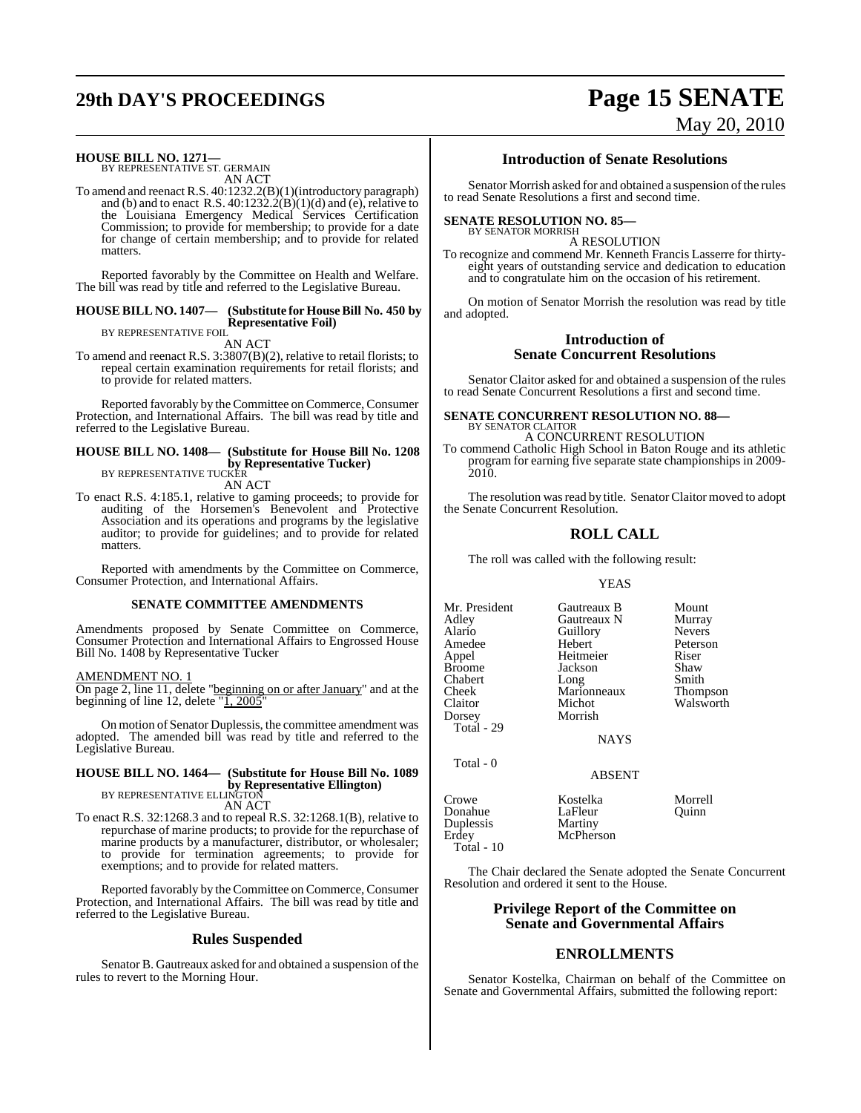# **29th DAY'S PROCEEDINGS Page 15 SENATE**

# May 20, 2010

## **HOUSE BILL NO. 1271—** BY REPRESENTATIVE ST. GERMAIN

AN ACT

To amend and reenact R.S. 40:1232.2(B)(1)(introductory paragraph) and (b) and to enact R.S. 40:1232.2(B)(1)(d) and (e), relative to the Louisiana Emergency Medical Services Certification Commission; to provide for membership; to provide for a date for change of certain membership; and to provide for related matters.

Reported favorably by the Committee on Health and Welfare. The bill was read by title and referred to the Legislative Bureau.

#### **HOUSE BILL NO. 1407— (Substitute for HouseBill No. 450 by Representative Foil)** BY REPRESENTATIVE FOIL

AN ACT

To amend and reenact R.S. 3:3807(B)(2), relative to retail florists; to repeal certain examination requirements for retail florists; and to provide for related matters.

Reported favorably by the Committee on Commerce, Consumer Protection, and International Affairs. The bill was read by title and referred to the Legislative Bureau.

## **HOUSE BILL NO. 1408— (Substitute for House Bill No. 1208 by Representative Tucker)**<br>BY REPRESENTATIVE TUCKER

AN ACT

To enact R.S. 4:185.1, relative to gaming proceeds; to provide for auditing of the Horsemen's Benevolent and Protective Association and its operations and programs by the legislative auditor; to provide for guidelines; and to provide for related matters.

Reported with amendments by the Committee on Commerce, Consumer Protection, and International Affairs.

#### **SENATE COMMITTEE AMENDMENTS**

Amendments proposed by Senate Committee on Commerce, Consumer Protection and International Affairs to Engrossed House Bill No. 1408 by Representative Tucker

#### AMENDMENT NO. 1

On page 2, line 11, delete "beginning on or after January" and at the beginning of line 12, delete "1, 2005"

On motion of Senator Duplessis, the committee amendment was adopted. The amended bill was read by title and referred to the Legislative Bureau.

## **HOUSE BILL NO. 1464— (Substitute for House Bill No. 1089 by Representative Ellington)**<br>BY REPRESENTATIVE ELLINGTON

AN ACT To enact R.S. 32:1268.3 and to repeal R.S. 32:1268.1(B), relative to repurchase of marine products; to provide for the repurchase of marine products by a manufacturer, distributor, or wholesaler; to provide for termination agreements; to provide for exemptions; and to provide for related matters.

Reported favorably by the Committee on Commerce, Consumer Protection, and International Affairs. The bill was read by title and referred to the Legislative Bureau.

#### **Rules Suspended**

Senator B. Gautreaux asked for and obtained a suspension of the rules to revert to the Morning Hour.

### **Introduction of Senate Resolutions**

Senator Morrish asked for and obtained a suspension of the rules to read Senate Resolutions a first and second time.

#### **SENATE RESOLUTION NO. 85—**

BY SENATOR MORRISH A RESOLUTION

To recognize and commend Mr. Kenneth Francis Lasserre for thirtyeight years of outstanding service and dedication to education and to congratulate him on the occasion of his retirement.

On motion of Senator Morrish the resolution was read by title and adopted.

#### **Introduction of Senate Concurrent Resolutions**

Senator Claitor asked for and obtained a suspension of the rules to read Senate Concurrent Resolutions a first and second time.

**SENATE CONCURRENT RESOLUTION NO. 88—** BY SENATOR CLAITOR A CONCURRENT RESOLUTION

To commend Catholic High School in Baton Rouge and its athletic program for earning five separate state championships in 2009- 2010.

The resolution was read by title. Senator Claitor moved to adopt the Senate Concurrent Resolution.

### **ROLL CALL**

The roll was called with the following result:

#### YEAS

Mr. President Gautreaux B Mount<br>Adley Gautreaux N Murray Gautreaux N Murray<br>
Guillory Nevers Alario Guillory<br>Amedee Hebert Amedee Hebert Peterson<br>
Appel Heitmeier Riser Appel Heitmeier Riser  $\begin{tabular}{ll} Jackson & \text{Shaw} \\ Long & \text{Smith} \end{tabular}$ Chabert Cheek Marionneaux Thompson Claitor Michot Walsworth<br>
Dorsey Morrish Morrish Total - 29 NAYS Total - 0 ABSENT

| Crowe<br>Donahue<br>Duplessis<br>Erdev | Kostelka<br>LaFleur<br>Martiny<br>McPherson | Morrell<br>Ouinn |
|----------------------------------------|---------------------------------------------|------------------|
| <b>Total</b> - 10                      |                                             |                  |

The Chair declared the Senate adopted the Senate Concurrent Resolution and ordered it sent to the House.

## **Privilege Report of the Committee on Senate and Governmental Affairs**

## **ENROLLMENTS**

Senator Kostelka, Chairman on behalf of the Committee on Senate and Governmental Affairs, submitted the following report: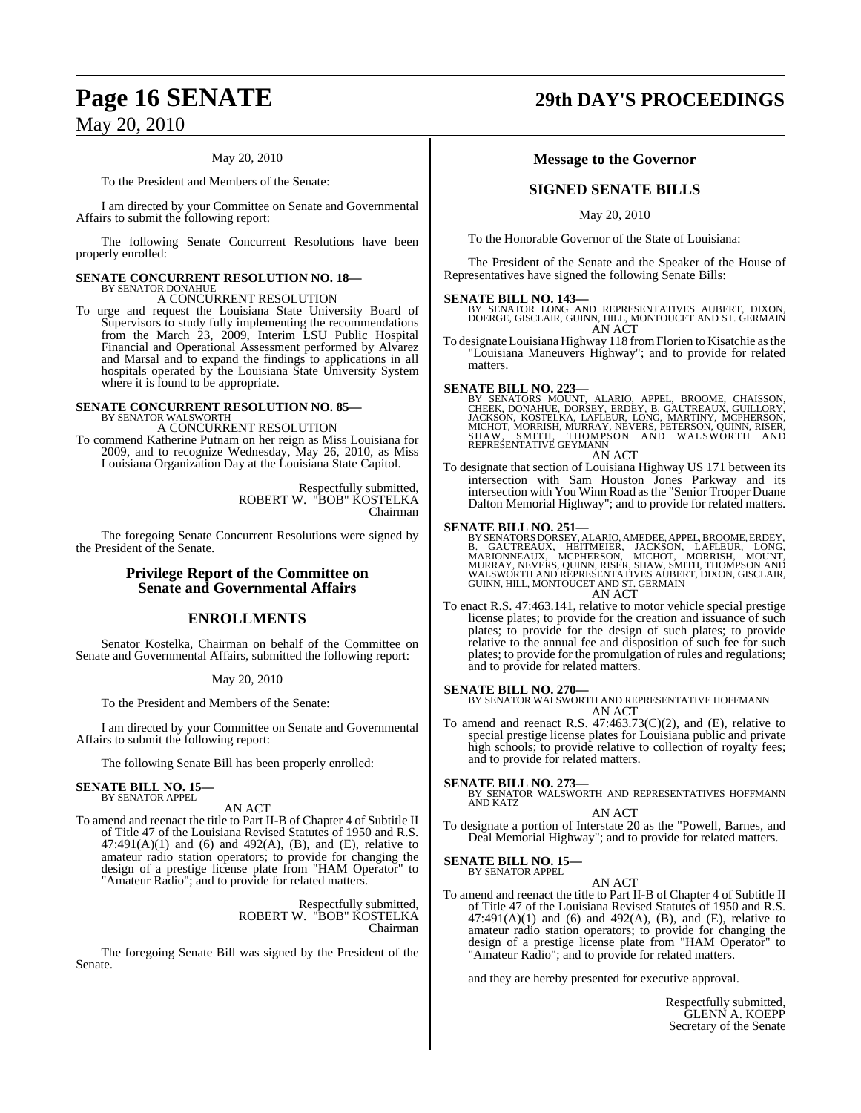#### May 20, 2010

To the President and Members of the Senate:

I am directed by your Committee on Senate and Governmental Affairs to submit the following report:

The following Senate Concurrent Resolutions have been properly enrolled:

## **SENATE CONCURRENT RESOLUTION NO. 18—** BY SENATOR DONAHUE A CONCURRENT RESOLUTION

To urge and request the Louisiana State University Board of Supervisors to study fully implementing the recommendations from the March 23, 2009, Interim LSU Public Hospital Financial and Operational Assessment performed by Alvarez and Marsal and to expand the findings to applications in all hospitals operated by the Louisiana State University System where it is found to be appropriate.

# **SENATE CONCURRENT RESOLUTION NO. 85—**<br>BY SENATOR WALSWORTH A CONCURRENT RESOLUTION

To commend Katherine Putnam on her reign as Miss Louisiana for 2009, and to recognize Wednesday, May 26, 2010, as Miss Louisiana Organization Day at the Louisiana State Capitol.

> Respectfully submitted, ROBERT W. "BOB" KOSTELKA Chairman

The foregoing Senate Concurrent Resolutions were signed by the President of the Senate.

## **Privilege Report of the Committee on Senate and Governmental Affairs**

## **ENROLLMENTS**

Senator Kostelka, Chairman on behalf of the Committee on Senate and Governmental Affairs, submitted the following report:

#### May 20, 2010

To the President and Members of the Senate:

I am directed by your Committee on Senate and Governmental Affairs to submit the following report:

The following Senate Bill has been properly enrolled:

#### **SENATE BILL NO. 15—** BY SENATOR APPEL

AN ACT

To amend and reenact the title to Part II-B of Chapter 4 of Subtitle II of Title 47 of the Louisiana Revised Statutes of 1950 and R.S.  $47:491(A)(1)$  and  $(6)$  and  $492(A)$ ,  $(B)$ , and  $(E)$ , relative to amateur radio station operators; to provide for changing the design of a prestige license plate from "HAM Operator" to "Amateur Radio"; and to provide for related matters.

> Respectfully submitted, ROBERT W. "BOB" KOSTELKA Chairman

The foregoing Senate Bill was signed by the President of the Senate.

## **Page 16 SENATE 29th DAY'S PROCEEDINGS**

### **Message to the Governor**

## **SIGNED SENATE BILLS**

May 20, 2010

To the Honorable Governor of the State of Louisiana:

The President of the Senate and the Speaker of the House of Representatives have signed the following Senate Bills:

**SENATE BILL NO. 143—** BY SENATOR LONG AND REPRESENTATIVES AUBERT, DIXON, DOERGE, GISCLAIR, GUINN, HILL, MONTOUCET AND ST. GERMAIN AN ACT

To designate Louisiana Highway 118 fromFlorien to Kisatchie asthe "Louisiana Maneuvers Highway"; and to provide for related matters.

#### **SENATE BILL NO. 223—**

BY SENATORS MOUNT, ALARIO, APPEL, BROOME, CHAISSON,<br>CHEEK, DONAHUE, DORSEY, ERDEY, B. GAUTREAUX, GUILLORY,<br>JACKSON, KOSTELKA, LAFLEUR, LONG, MARTINY, MCPHERSON,<br>MICHOT, MORRISH, MURRAY, NEVERS, PETERSON, QUINN, RISER,<br>SHAW REPRESENTATIVE GEYMANN AN ACT

To designate that section of Louisiana Highway US 171 between its intersection with Sam Houston Jones Parkway and its intersection with You Winn Road asthe "Senior Trooper Duane Dalton Memorial Highway"; and to provide for related matters.

**SENATE BILL NO. 251—**<br>BY SENATORS DORSEY, ALARIO, AMEDEE, APPEL, BROOME, ERDEY, B. GAUTREAUX, HEITMEIER, JACKSON, LAFLEUR, LONG,<br>MARIONNEAUX, MCPHERSON, MICHOT, MORRISH, MOUNT,<br>MURRAY, NEVERS, QUINN, RISER, SHAW, SMITH, T

To enact R.S. 47:463.141, relative to motor vehicle special prestige license plates; to provide for the creation and issuance of such plates; to provide for the design of such plates; to provide relative to the annual fee and disposition of such fee for such plates; to provide for the promulgation of rules and regulations; and to provide for related matters.

**SENATE BILL NO. 270—** BY SENATOR WALSWORTH AND REPRESENTATIVE HOFFMANN AN ACT

To amend and reenact R.S.  $47:463.73(C)(2)$ , and (E), relative to special prestige license plates for Louisiana public and private high schools; to provide relative to collection of royalty fees; and to provide for related matters.

#### **SENATE BILL NO. 273—**

BY SENATOR WALSWORTH AND REPRESENTATIVES HOFFMANN AND KATZ

### AN ACT

To designate a portion of Interstate 20 as the "Powell, Barnes, and Deal Memorial Highway"; and to provide for related matters.

# **SENATE BILL NO. 15—** BY SENATOR APPEL

## AN ACT

To amend and reenact the title to Part II-B of Chapter 4 of Subtitle II of Title 47 of the Louisiana Revised Statutes of 1950 and R.S.  $47:491(A)(1)$  and  $(6)$  and  $492(A)$ ,  $(B)$ , and  $(E)$ , relative to amateur radio station operators; to provide for changing the design of a prestige license plate from "HAM Operator" to "Amateur Radio"; and to provide for related matters.

and they are hereby presented for executive approval.

Respectfully submitted, GLENN A. KOEPP Secretary of the Senate